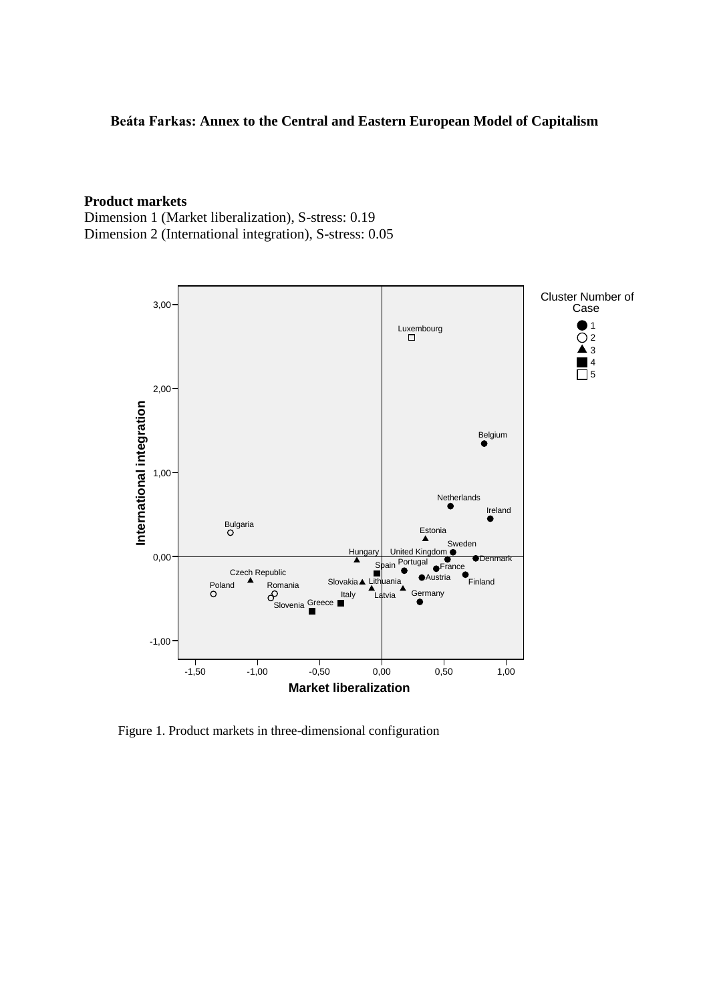#### **Beáta Farkas: Annex to the Central and Eastern European Model of Capitalism**

#### **Product markets**

Dimension 1 (Market liberalization), S-stress: 0.19 Dimension 2 (International integration), S-stress: 0.05



Figure 1. Product markets in three-dimensional configuration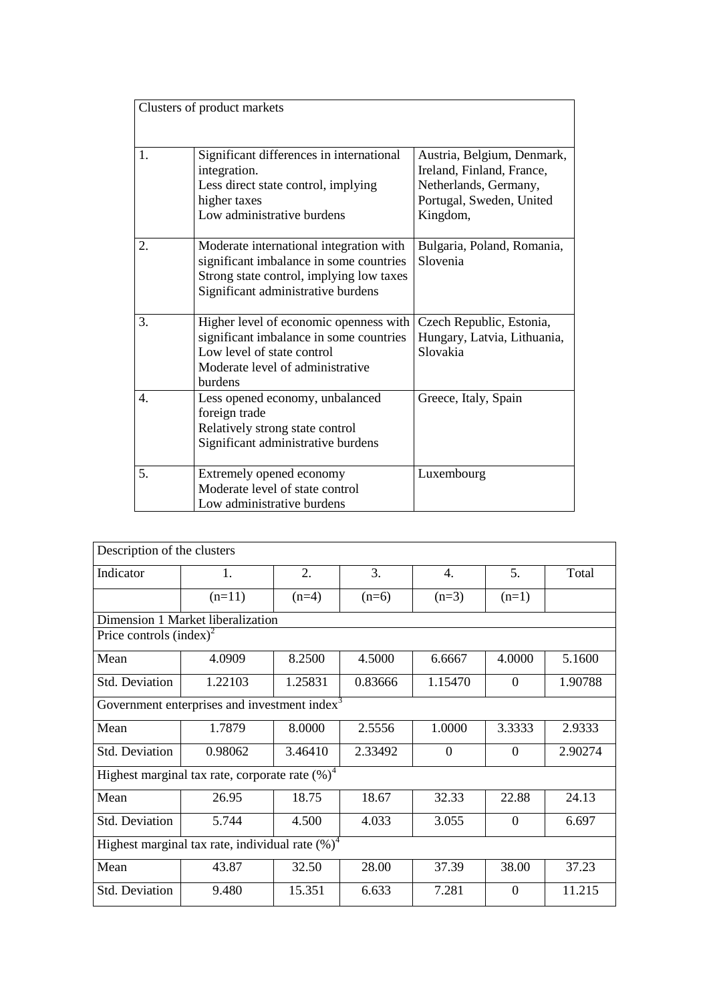|                  | Clusters of product markets                                                                                                                                          |                                                                                                                          |
|------------------|----------------------------------------------------------------------------------------------------------------------------------------------------------------------|--------------------------------------------------------------------------------------------------------------------------|
| 1.               | Significant differences in international<br>integration.<br>Less direct state control, implying<br>higher taxes<br>Low administrative burdens                        | Austria, Belgium, Denmark,<br>Ireland, Finland, France,<br>Netherlands, Germany,<br>Portugal, Sweden, United<br>Kingdom, |
| 2.               | Moderate international integration with<br>significant imbalance in some countries<br>Strong state control, implying low taxes<br>Significant administrative burdens | Bulgaria, Poland, Romania,<br>Slovenia                                                                                   |
| 3.               | Higher level of economic openness with<br>significant imbalance in some countries<br>Low level of state control<br>Moderate level of administrative<br>burdens       | Czech Republic, Estonia,<br>Hungary, Latvia, Lithuania,<br>Slovakia                                                      |
| $\overline{4}$ . | Less opened economy, unbalanced<br>foreign trade<br>Relatively strong state control<br>Significant administrative burdens                                            | Greece, Italy, Spain                                                                                                     |
| 5.               | Extremely opened economy<br>Moderate level of state control<br>Low administrative burdens                                                                            | Luxembourg                                                                                                               |

| Description of the clusters                              |                                                    |         |         |                |          |         |  |  |
|----------------------------------------------------------|----------------------------------------------------|---------|---------|----------------|----------|---------|--|--|
| Indicator                                                | $\mathbf{1}$ .                                     | 2.      | 3.      | $\mathbf{4}$ . | 5.       | Total   |  |  |
|                                                          | $(n=11)$                                           | $(n=4)$ | $(n=6)$ | $(n=3)$        | $(n=1)$  |         |  |  |
|                                                          | Dimension 1 Market liberalization                  |         |         |                |          |         |  |  |
| Price controls $(index)^2$                               |                                                    |         |         |                |          |         |  |  |
| Mean                                                     | 4.0909                                             | 8.2500  | 4.5000  | 6.6667         | 4.0000   | 5.1600  |  |  |
| Std. Deviation                                           | 1.22103                                            | 1.25831 | 0.83666 | 1.15470        | $\theta$ | 1.90788 |  |  |
| Government enterprises and investment index <sup>3</sup> |                                                    |         |         |                |          |         |  |  |
| Mean                                                     | 1.7879                                             | 8.0000  | 2.5556  | 1.0000         | 3.3333   | 2.9333  |  |  |
| <b>Std. Deviation</b>                                    | 0.98062                                            | 3.46410 | 2.33492 | $\Omega$       | $\Omega$ | 2.90274 |  |  |
|                                                          | Highest marginal tax rate, corporate rate $(\%)^4$ |         |         |                |          |         |  |  |
| Mean                                                     | 26.95                                              | 18.75   | 18.67   | 32.33          | 22.88    | 24.13   |  |  |
| Std. Deviation                                           | 5.744                                              | 4.500   | 4.033   | 3.055          | $\Omega$ | 6.697   |  |  |
| Highest marginal tax rate, individual rate $(\%)^4$      |                                                    |         |         |                |          |         |  |  |
| Mean                                                     | 43.87                                              | 32.50   | 28.00   | 37.39          | 38.00    | 37.23   |  |  |
| <b>Std. Deviation</b>                                    | 9.480                                              | 15.351  | 6.633   | 7.281          | $\Omega$ | 11.215  |  |  |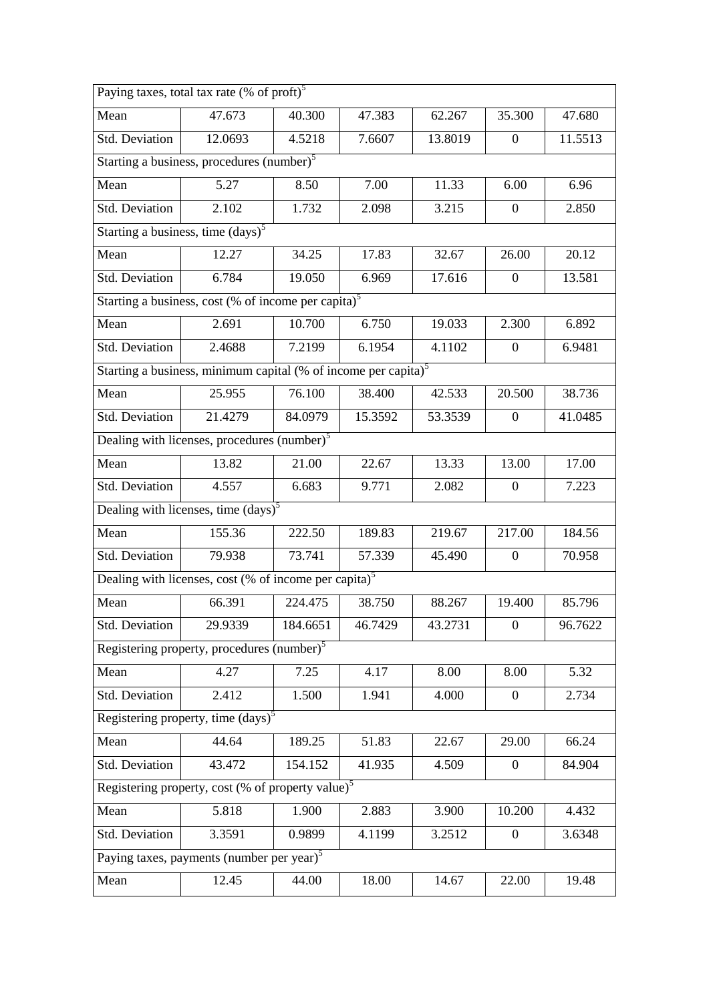| Paying taxes, total tax rate (% of proft) <sup>5</sup>         |                                                                                    |          |         |         |                  |         |  |  |  |
|----------------------------------------------------------------|------------------------------------------------------------------------------------|----------|---------|---------|------------------|---------|--|--|--|
| Mean                                                           | 47.673                                                                             | 40.300   | 47.383  | 62.267  | 35.300           | 47.680  |  |  |  |
| Std. Deviation                                                 | 12.0693                                                                            | 4.5218   | 7.6607  | 13.8019 | $\overline{0}$   | 11.5513 |  |  |  |
| Starting a business, procedures $\overline{\text{(number)}}^5$ |                                                                                    |          |         |         |                  |         |  |  |  |
| Mean                                                           | 5.27                                                                               | 8.50     | 7.00    | 11.33   | 6.00             | 6.96    |  |  |  |
| Std. Deviation                                                 | 2.102                                                                              | 1.732    | 2.098   | 3.215   | $\boldsymbol{0}$ | 2.850   |  |  |  |
|                                                                | Starting a business, time $(days)^5$                                               |          |         |         |                  |         |  |  |  |
| Mean                                                           | 12.27                                                                              | 34.25    | 17.83   | 32.67   | 26.00            | 20.12   |  |  |  |
| Std. Deviation                                                 | 6.784                                                                              | 19.050   | 6.969   | 17.616  | $\mathbf{0}$     | 13.581  |  |  |  |
|                                                                | Starting a business, cost (% of income per capita) <sup>5</sup>                    |          |         |         |                  |         |  |  |  |
| Mean                                                           | 2.691                                                                              | 10.700   | 6.750   | 19.033  | 2.300            | 6.892   |  |  |  |
| Std. Deviation                                                 | 2.4688                                                                             | 7.2199   | 6.1954  | 4.1102  | $\mathbf{0}$     | 6.9481  |  |  |  |
|                                                                | Starting a business, minimum capital (% of income per capita) <sup>5</sup>         |          |         |         |                  |         |  |  |  |
| Mean                                                           | 25.955                                                                             | 76.100   | 38.400  | 42.533  | 20.500           | 38.736  |  |  |  |
| Std. Deviation                                                 | 21.4279                                                                            | 84.0979  | 15.3592 | 53.3539 | $\boldsymbol{0}$ | 41.0485 |  |  |  |
|                                                                | Dealing with licenses, procedures $\overline{(number)}^5$                          |          |         |         |                  |         |  |  |  |
| Mean                                                           | 13.82                                                                              | 21.00    | 22.67   | 13.33   | 13.00            | 17.00   |  |  |  |
| Std. Deviation                                                 | 4.557                                                                              | 6.683    | 9.771   | 2.082   | $\mathbf{0}$     | 7.223   |  |  |  |
|                                                                | Dealing with licenses, time $\left(\text{days}\right)^5$                           |          |         |         |                  |         |  |  |  |
| Mean                                                           | 155.36                                                                             | 222.50   | 189.83  | 219.67  | 217.00           | 184.56  |  |  |  |
| Std. Deviation                                                 | 79.938                                                                             | 73.741   | 57.339  | 45.490  | $\mathbf{0}$     | 70.958  |  |  |  |
|                                                                | Dealing with licenses, cost (% of $\overline{income per\, capital}$ ) <sup>5</sup> |          |         |         |                  |         |  |  |  |
| Mean                                                           | 66.391                                                                             | 224.475  | 38.750  | 88.267  | 19.400           | 85.796  |  |  |  |
| Std. Deviation                                                 | 29.9339                                                                            | 184.6651 | 46.7429 | 43.2731 | $\boldsymbol{0}$ | 96.7622 |  |  |  |
|                                                                | Registering property, procedures (number) <sup>5</sup>                             |          |         |         |                  |         |  |  |  |
| Mean                                                           | 4.27                                                                               | 7.25     | 4.17    | 8.00    | 8.00             | 5.32    |  |  |  |
| Std. Deviation                                                 | 2.412                                                                              | 1.500    | 1.941   | 4.000   | $\boldsymbol{0}$ | 2.734   |  |  |  |
|                                                                | Registering property, time $(days)^5$                                              |          |         |         |                  |         |  |  |  |
| Mean                                                           | 44.64                                                                              | 189.25   | 51.83   | 22.67   | 29.00            | 66.24   |  |  |  |
| Std. Deviation                                                 | 43.472                                                                             | 154.152  | 41.935  | 4.509   | $\overline{0}$   | 84.904  |  |  |  |
|                                                                | Registering property, cost (% of property value) $5$                               |          |         |         |                  |         |  |  |  |
| Mean                                                           | 5.818                                                                              | 1.900    | 2.883   | 3.900   | 10.200           | 4.432   |  |  |  |
| Std. Deviation                                                 | 3.3591                                                                             | 0.9899   | 4.1199  | 3.2512  | $\overline{0}$   | 3.6348  |  |  |  |
|                                                                | Paying taxes, payments (number per year) <sup>5</sup>                              |          |         |         |                  |         |  |  |  |
| Mean                                                           | 12.45                                                                              | 44.00    | 18.00   | 14.67   | 22.00            | 19.48   |  |  |  |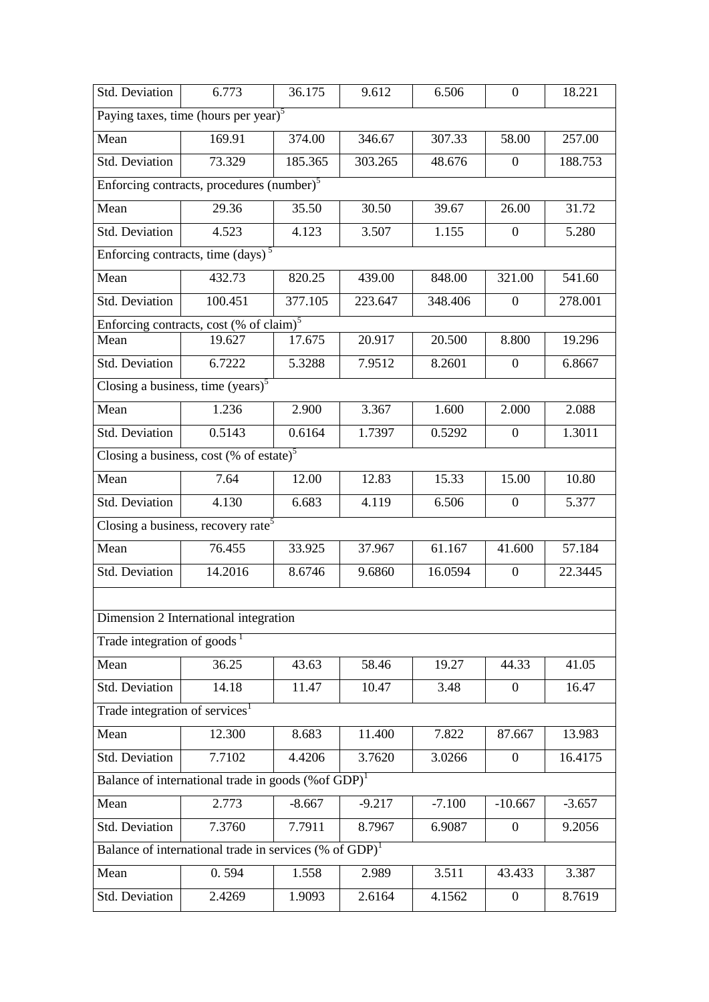| Std. Deviation                                        | 6.773                                                              | 36.175   | 9.612    | 6.506    | $\Omega$         | 18.221   |  |  |  |  |
|-------------------------------------------------------|--------------------------------------------------------------------|----------|----------|----------|------------------|----------|--|--|--|--|
|                                                       | Paying taxes, time (hours per year) <sup>5</sup>                   |          |          |          |                  |          |  |  |  |  |
| Mean                                                  | 169.91                                                             | 374.00   | 346.67   | 307.33   | 58.00            | 257.00   |  |  |  |  |
| Std. Deviation                                        | 73.329                                                             | 185.365  | 303.265  | 48.676   | $\overline{0}$   | 188.753  |  |  |  |  |
| Enforcing contracts, procedures (number) <sup>5</sup> |                                                                    |          |          |          |                  |          |  |  |  |  |
| Mean                                                  | 29.36                                                              | 35.50    | 30.50    | 39.67    | 26.00            | 31.72    |  |  |  |  |
| Std. Deviation                                        | 4.523                                                              | 4.123    | 3.507    | 1.155    | $\overline{0}$   | 5.280    |  |  |  |  |
|                                                       | Enforcing contracts, time (days) <sup>5</sup>                      |          |          |          |                  |          |  |  |  |  |
| Mean                                                  | 432.73                                                             | 820.25   | 439.00   | 848.00   | 321.00           | 541.60   |  |  |  |  |
| Std. Deviation                                        | 100.451                                                            | 377.105  | 223.647  | 348.406  | $\boldsymbol{0}$ | 278.001  |  |  |  |  |
|                                                       | Enforcing contracts, cost (% of claim) <sup>5</sup>                |          |          |          |                  |          |  |  |  |  |
| Mean                                                  | 19.627                                                             | 17.675   | 20.917   | 20.500   | 8.800            | 19.296   |  |  |  |  |
| Std. Deviation                                        | 6.7222                                                             | 5.3288   | 7.9512   | 8.2601   | $\boldsymbol{0}$ | 6.8667   |  |  |  |  |
|                                                       | Closing a business, time $(years)^5$                               |          |          |          |                  |          |  |  |  |  |
| Mean                                                  | 1.236                                                              | 2.900    | 3.367    | 1.600    | 2.000            | 2.088    |  |  |  |  |
| Std. Deviation                                        | 0.5143                                                             | 0.6164   | 1.7397   | 0.5292   | $\overline{0}$   | 1.3011   |  |  |  |  |
|                                                       | Closing a business, cost (% of estate) <sup>5</sup>                |          |          |          |                  |          |  |  |  |  |
| Mean                                                  | 7.64                                                               | 12.00    | 12.83    | 15.33    | 15.00            | 10.80    |  |  |  |  |
| Std. Deviation                                        | 4.130                                                              | 6.683    | 4.119    | 6.506    | $\mathbf{0}$     | 5.377    |  |  |  |  |
|                                                       | Closing a business, recovery rate <sup>5</sup>                     |          |          |          |                  |          |  |  |  |  |
| Mean                                                  | 76.455                                                             | 33.925   | 37.967   | 61.167   | 41.600           | 57.184   |  |  |  |  |
| Std. Deviation                                        | 14.2016                                                            | 8.6746   | 9.6860   | 16.0594  | $\boldsymbol{0}$ | 22.3445  |  |  |  |  |
|                                                       |                                                                    |          |          |          |                  |          |  |  |  |  |
|                                                       | Dimension 2 International integration                              |          |          |          |                  |          |  |  |  |  |
| Trade integration of goods <sup><math>1</math></sup>  |                                                                    |          |          |          |                  |          |  |  |  |  |
| Mean                                                  | 36.25                                                              | 43.63    | 58.46    | 19.27    | 44.33            | 41.05    |  |  |  |  |
| Std. Deviation                                        | 14.18                                                              | 11.47    | 10.47    | 3.48     | $\overline{0}$   | 16.47    |  |  |  |  |
| Trade integration of services <sup>1</sup>            |                                                                    |          |          |          |                  |          |  |  |  |  |
| Mean                                                  | 12.300                                                             | 8.683    | 11.400   | 7.822    | 87.667           | 13.983   |  |  |  |  |
| Std. Deviation                                        | 7.7102                                                             | 4.4206   | 3.7620   | 3.0266   | $\boldsymbol{0}$ | 16.4175  |  |  |  |  |
|                                                       | Balance of international trade in goods (%of GDP) <sup>1</sup>     |          |          |          |                  |          |  |  |  |  |
| Mean                                                  | 2.773                                                              | $-8.667$ | $-9.217$ | $-7.100$ | $-10.667$        | $-3.657$ |  |  |  |  |
| Std. Deviation                                        | 7.3760                                                             | 7.7911   | 8.7967   | 6.9087   | $\overline{0}$   | 9.2056   |  |  |  |  |
|                                                       | Balance of international trade in services (% of GDP) <sup>1</sup> |          |          |          |                  |          |  |  |  |  |
| Mean                                                  | 0.594                                                              | 1.558    | 2.989    | 3.511    | 43.433           | 3.387    |  |  |  |  |
| Std. Deviation                                        | 2.4269                                                             | 1.9093   | 2.6164   | 4.1562   | $\boldsymbol{0}$ | 8.7619   |  |  |  |  |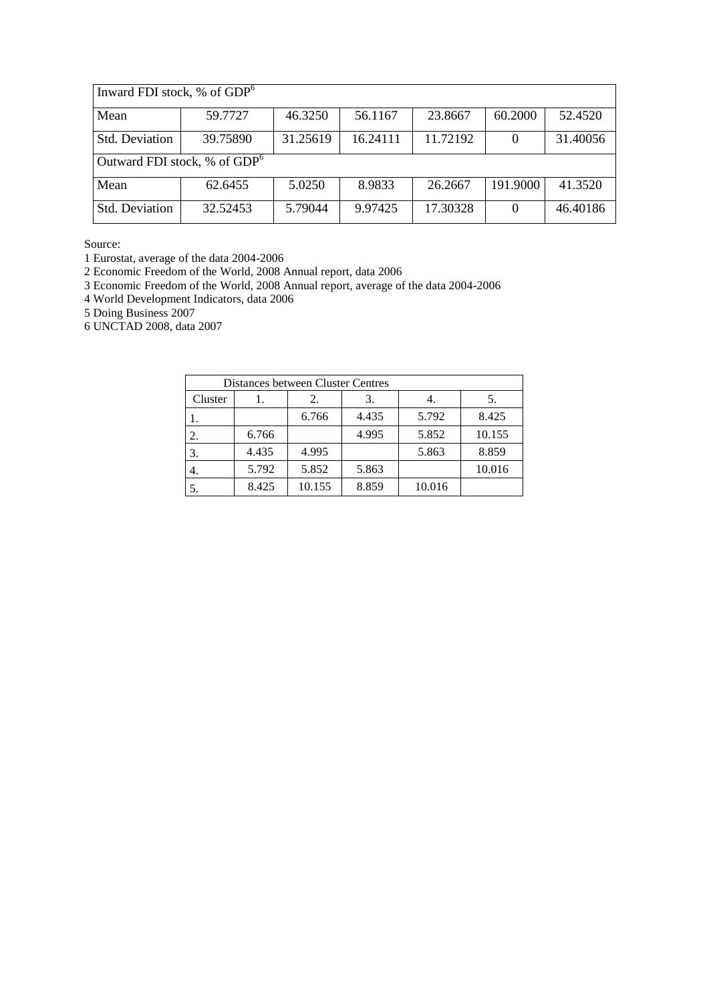| Inward FDI stock, % of $GDP6$                                                     |          |         |         |          |          |          |  |  |  |
|-----------------------------------------------------------------------------------|----------|---------|---------|----------|----------|----------|--|--|--|
| Mean                                                                              | 59.7727  | 46.3250 | 56.1167 | 23.8667  | 60.2000  | 52.4520  |  |  |  |
| 11.72192<br><b>Std. Deviation</b><br>39.75890<br>31.25619<br>16.24111<br>$\Omega$ |          |         |         |          |          | 31.40056 |  |  |  |
| Outward FDI stock, % of GDP <sup>6</sup>                                          |          |         |         |          |          |          |  |  |  |
| Mean                                                                              | 62.6455  | 5.0250  | 8.9833  | 26.2667  | 191.9000 | 41.3520  |  |  |  |
| <b>Std. Deviation</b>                                                             | 32.52453 | 5.79044 | 9.97425 | 17.30328 | $\theta$ | 46.40186 |  |  |  |

1 Eurostat, average of the data 2004-2006

2 Economic Freedom of the World, 2008 Annual report, data 2006

3 Economic Freedom of the World, 2008 Annual report, average of the data 2004-2006

4 World Development Indicators, data 2006

5 Doing Business 2007

6 UNCTAD 2008, data 2007

| Distances between Cluster Centres |       |        |       |        |        |  |  |  |
|-----------------------------------|-------|--------|-------|--------|--------|--|--|--|
| Cluster                           |       | 2.     | 3.    |        |        |  |  |  |
|                                   |       | 6.766  | 4.435 | 5.792  | 8.425  |  |  |  |
|                                   | 6.766 |        | 4.995 | 5.852  | 10.155 |  |  |  |
|                                   | 4.435 | 4.995  |       | 5.863  | 8.859  |  |  |  |
|                                   | 5.792 | 5.852  | 5.863 |        | 10.016 |  |  |  |
|                                   | 8.425 | 10.155 | 8.859 | 10.016 |        |  |  |  |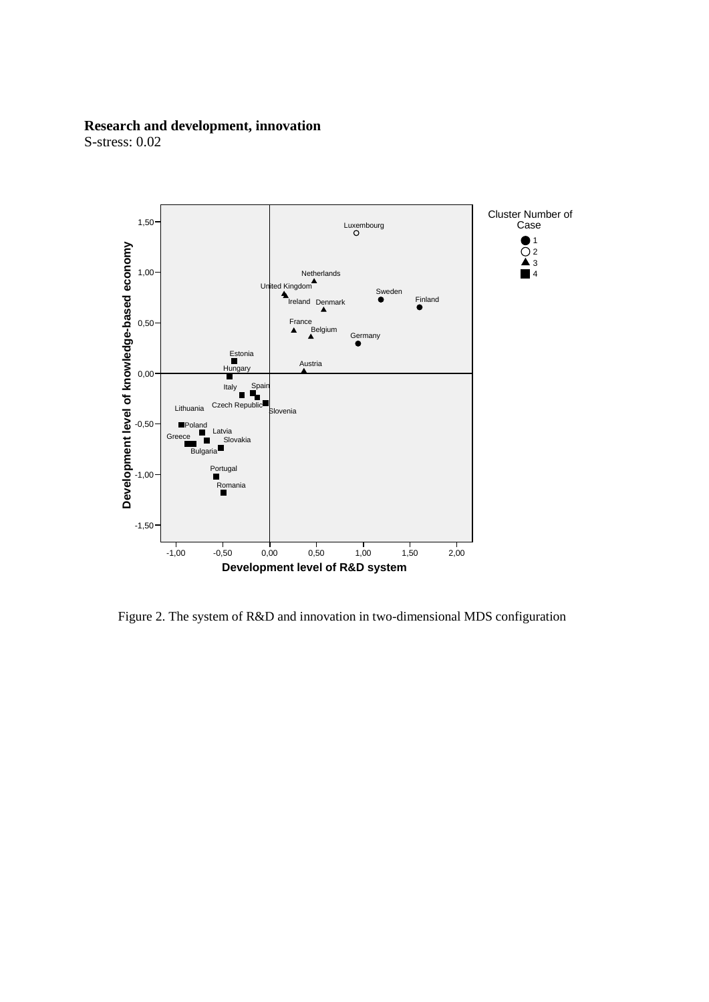# **Research and development, innovation**



Figure 2. The system of R&D and innovation in two-dimensional MDS configuration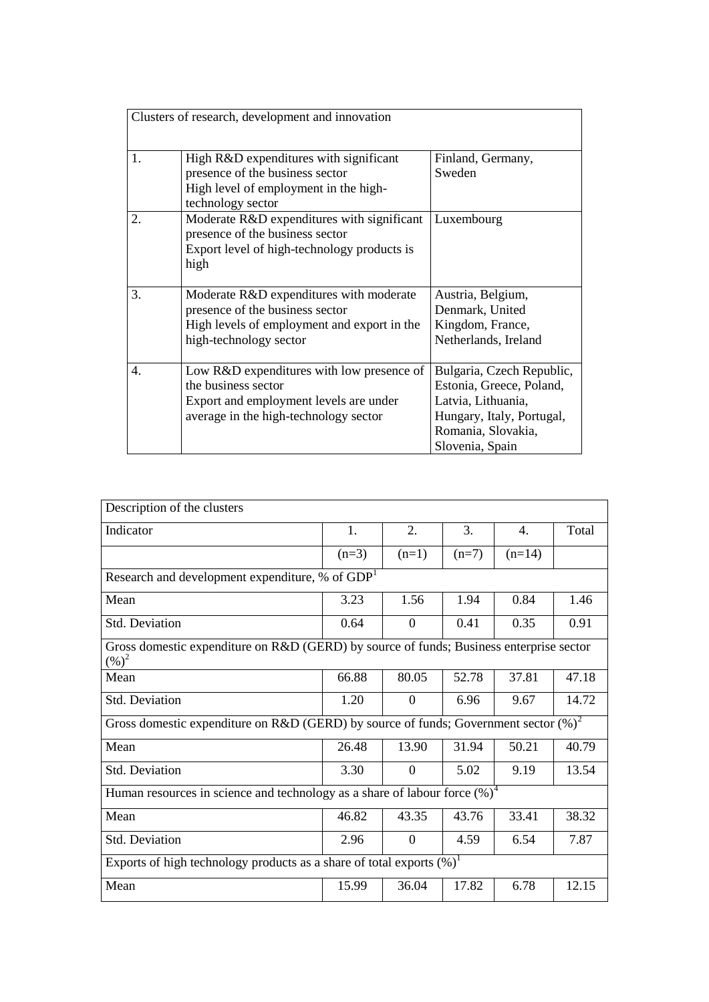|    | Clusters of research, development and innovation                                                                                                    |                                                                                                                                                   |
|----|-----------------------------------------------------------------------------------------------------------------------------------------------------|---------------------------------------------------------------------------------------------------------------------------------------------------|
| 1. | High R&D expenditures with significant<br>presence of the business sector<br>High level of employment in the high-<br>technology sector             | Finland, Germany,<br>Sweden                                                                                                                       |
| 2. | Moderate R&D expenditures with significant<br>presence of the business sector<br>Export level of high-technology products is<br>high                | Luxembourg                                                                                                                                        |
| 3. | Moderate R&D expenditures with moderate<br>presence of the business sector<br>High levels of employment and export in the<br>high-technology sector | Austria, Belgium,<br>Denmark, United<br>Kingdom, France,<br>Netherlands, Ireland                                                                  |
| 4. | Low R&D expenditures with low presence of<br>the business sector<br>Export and employment levels are under<br>average in the high-technology sector | Bulgaria, Czech Republic,<br>Estonia, Greece, Poland,<br>Latvia, Lithuania,<br>Hungary, Italy, Portugal,<br>Romania, Slovakia,<br>Slovenia, Spain |

| Description of the clusters                                                                         |         |                |         |          |       |  |  |  |
|-----------------------------------------------------------------------------------------------------|---------|----------------|---------|----------|-------|--|--|--|
| Indicator                                                                                           | 1.      | 2.             | 3.      | 4.       | Total |  |  |  |
|                                                                                                     | $(n=3)$ | $(n=1)$        | $(n=7)$ | $(n=14)$ |       |  |  |  |
| Research and development expenditure, % of $GDP1$                                                   |         |                |         |          |       |  |  |  |
| Mean                                                                                                | 3.23    | 1.56           | 1.94    | 0.84     | 1.46  |  |  |  |
| Std. Deviation                                                                                      | 0.64    | $\overline{0}$ | 0.41    | 0.35     | 0.91  |  |  |  |
| Gross domestic expenditure on R&D (GERD) by source of funds; Business enterprise sector<br>$(\%)^2$ |         |                |         |          |       |  |  |  |
| Mean                                                                                                | 66.88   | 80.05          | 52.78   | 37.81    | 47.18 |  |  |  |
| <b>Std. Deviation</b>                                                                               | 1.20    | $\overline{0}$ | 6.96    | 9.67     | 14.72 |  |  |  |
| Gross domestic expenditure on R&D (GERD) by source of funds; Government sector $(\%)^2$             |         |                |         |          |       |  |  |  |
| Mean                                                                                                | 26.48   | 13.90          | 31.94   | 50.21    | 40.79 |  |  |  |
| Std. Deviation                                                                                      | 3.30    | $\overline{0}$ | 5.02    | 9.19     | 13.54 |  |  |  |
| Human resources in science and technology as a share of labour force $\overline{(%)}^4$             |         |                |         |          |       |  |  |  |
| Mean                                                                                                | 46.82   | 43.35          | 43.76   | 33.41    | 38.32 |  |  |  |
| <b>Std. Deviation</b>                                                                               | 2.96    | $\theta$       | 4.59    | 6.54     | 7.87  |  |  |  |
| Exports of high technology products as a share of total exports $(\%)^1$                            |         |                |         |          |       |  |  |  |
| Mean                                                                                                | 15.99   | 36.04          | 17.82   | 6.78     | 12.15 |  |  |  |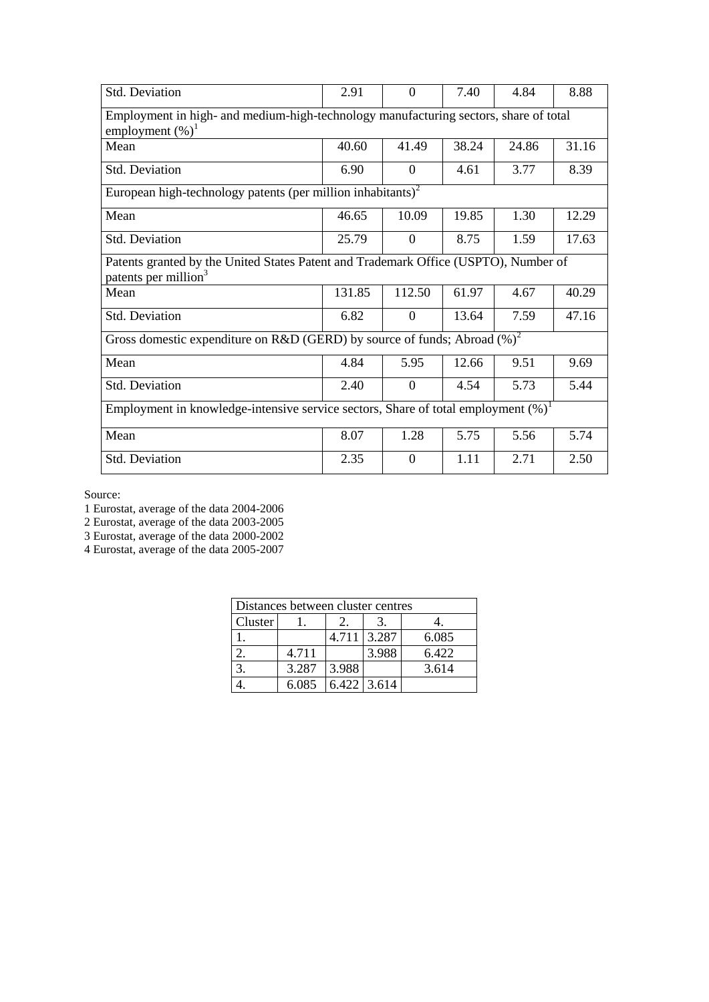| Std. Deviation                                                                                                          | 2.91   | $\Omega$       | 7.40  | 4.84  | 8.88  |  |  |  |  |
|-------------------------------------------------------------------------------------------------------------------------|--------|----------------|-------|-------|-------|--|--|--|--|
| Employment in high- and medium-high-technology manufacturing sectors, share of total<br>employment $(\%)^1$             |        |                |       |       |       |  |  |  |  |
| Mean                                                                                                                    | 40.60  | 41.49          | 38.24 | 24.86 | 31.16 |  |  |  |  |
| Std. Deviation                                                                                                          | 6.90   | $\Omega$       | 4.61  | 3.77  | 8.39  |  |  |  |  |
| European high-technology patents (per million inhabitants) <sup>2</sup>                                                 |        |                |       |       |       |  |  |  |  |
| Mean                                                                                                                    | 46.65  | 10.09          | 19.85 | 1.30  | 12.29 |  |  |  |  |
| <b>Std. Deviation</b>                                                                                                   | 25.79  | $\Omega$       | 8.75  | 1.59  | 17.63 |  |  |  |  |
| Patents granted by the United States Patent and Trademark Office (USPTO), Number of<br>patents per million <sup>3</sup> |        |                |       |       |       |  |  |  |  |
| Mean                                                                                                                    | 131.85 | 112.50         | 61.97 | 4.67  | 40.29 |  |  |  |  |
| Std. Deviation                                                                                                          | 6.82   | $\overline{0}$ | 13.64 | 7.59  | 47.16 |  |  |  |  |
| Gross domestic expenditure on R&D (GERD) by source of funds; Abroad $(\%)^2$                                            |        |                |       |       |       |  |  |  |  |
| Mean                                                                                                                    | 4.84   | 5.95           | 12.66 | 9.51  | 9.69  |  |  |  |  |
| Std. Deviation                                                                                                          | 2.40   | $\overline{0}$ | 4.54  | 5.73  | 5.44  |  |  |  |  |
| Employment in knowledge-intensive service sectors, Share of total employment $(\%)^1$                                   |        |                |       |       |       |  |  |  |  |
| Mean                                                                                                                    | 8.07   | 1.28           | 5.75  | 5.56  | 5.74  |  |  |  |  |
| Std. Deviation                                                                                                          | 2.35   | $\Omega$       | 1.11  | 2.71  | 2.50  |  |  |  |  |

1 Eurostat, average of the data 2004-2006

2 Eurostat, average of the data 2003-2005

3 Eurostat, average of the data 2000-2002

4 Eurostat, average of the data 2005-2007

| Distances between cluster centres |       |       |               |       |  |  |  |
|-----------------------------------|-------|-------|---------------|-------|--|--|--|
| Cluster                           |       |       |               |       |  |  |  |
|                                   |       |       | 4.711 3.287   | 6.085 |  |  |  |
|                                   | 4.711 |       | 3.988         | 6.422 |  |  |  |
|                                   | 3.287 | 3.988 |               | 3.614 |  |  |  |
|                                   | 6.085 |       | $6.422$ 3.614 |       |  |  |  |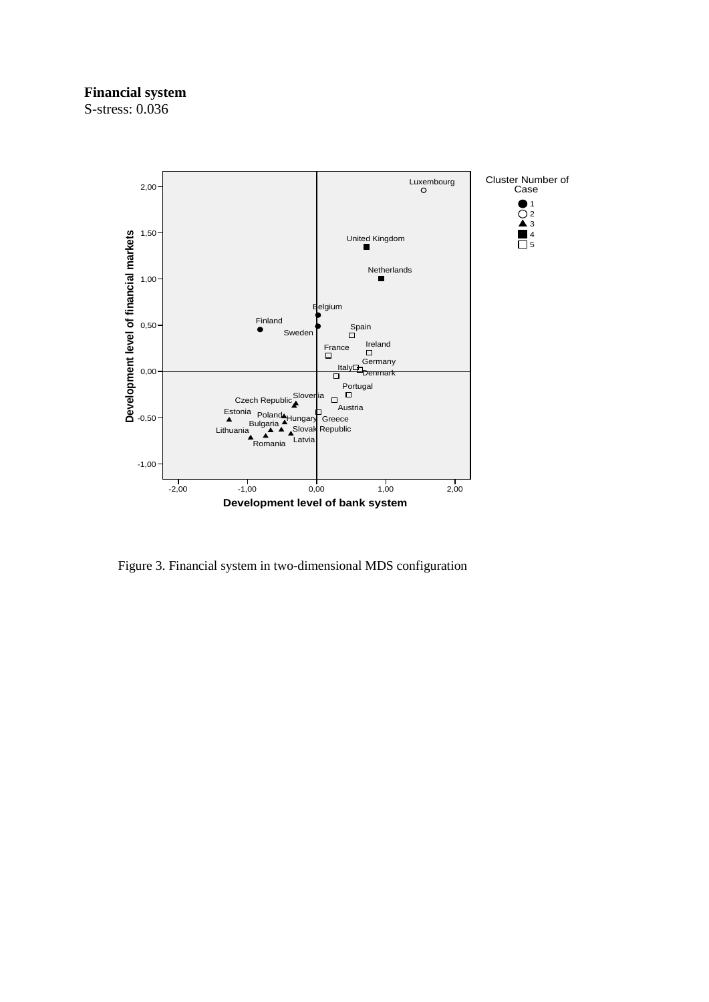## **Financial system**



Figure 3. Financial system in two-dimensional MDS configuration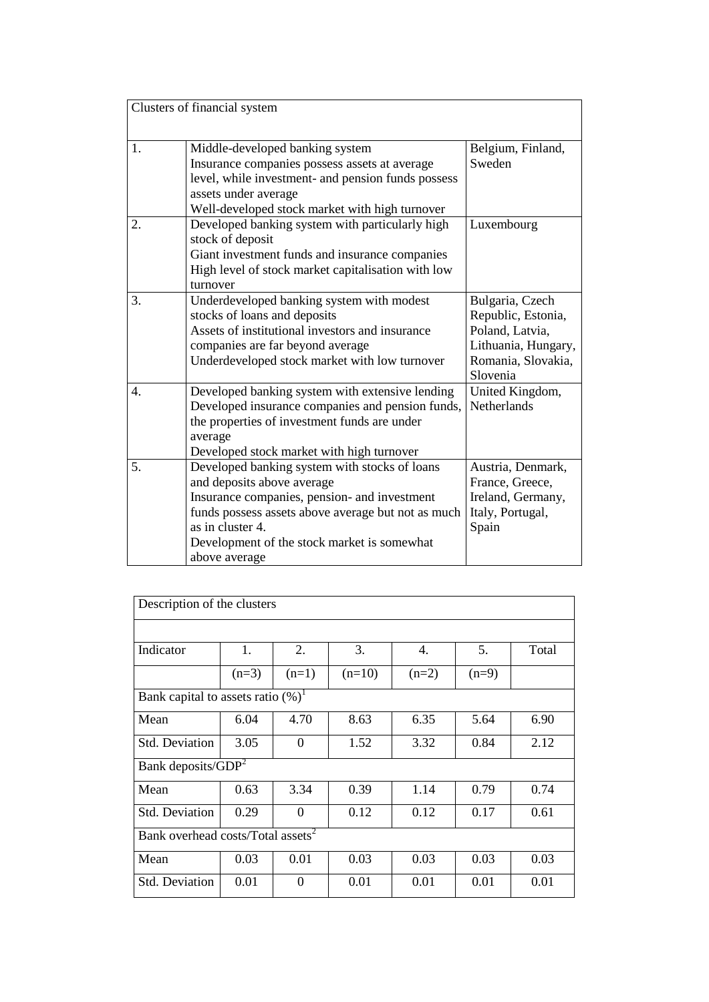|                  | Clusters of financial system                                                                                                                                                                                                                                          |                                                                                                                   |
|------------------|-----------------------------------------------------------------------------------------------------------------------------------------------------------------------------------------------------------------------------------------------------------------------|-------------------------------------------------------------------------------------------------------------------|
| 1.               | Middle-developed banking system<br>Insurance companies possess assets at average<br>level, while investment- and pension funds possess<br>assets under average<br>Well-developed stock market with high turnover                                                      | Belgium, Finland,<br>Sweden                                                                                       |
| 2.               | Developed banking system with particularly high<br>stock of deposit<br>Giant investment funds and insurance companies<br>High level of stock market capitalisation with low<br>turnover                                                                               | Luxembourg                                                                                                        |
| 3.               | Underdeveloped banking system with modest<br>stocks of loans and deposits<br>Assets of institutional investors and insurance<br>companies are far beyond average<br>Underdeveloped stock market with low turnover                                                     | Bulgaria, Czech<br>Republic, Estonia,<br>Poland, Latvia,<br>Lithuania, Hungary,<br>Romania, Slovakia,<br>Slovenia |
| $\overline{4}$ . | Developed banking system with extensive lending<br>Developed insurance companies and pension funds,<br>the properties of investment funds are under<br>average<br>Developed stock market with high turnover                                                           | United Kingdom,<br>Netherlands                                                                                    |
| 5.               | Developed banking system with stocks of loans<br>and deposits above average<br>Insurance companies, pension- and investment<br>funds possess assets above average but not as much<br>as in cluster 4.<br>Development of the stock market is somewhat<br>above average | Austria, Denmark,<br>France, Greece,<br>Ireland, Germany,<br>Italy, Portugal,<br>Spain                            |

| Description of the clusters                   |         |                  |          |         |         |       |  |  |
|-----------------------------------------------|---------|------------------|----------|---------|---------|-------|--|--|
|                                               |         |                  |          |         |         |       |  |  |
| Indicator                                     | 1.      | 2.               | 3.       | 4.      | 5.      | Total |  |  |
|                                               | $(n=3)$ | $(n=1)$          | $(n=10)$ | $(n=2)$ | $(n=9)$ |       |  |  |
| Bank capital to assets ratio $(\%)^1$         |         |                  |          |         |         |       |  |  |
| Mean                                          | 6.04    | 4.70             | 8.63     | 6.35    | 5.64    | 6.90  |  |  |
| <b>Std. Deviation</b>                         | 3.05    | $\theta$         | 1.52     | 3.32    | 0.84    | 2.12  |  |  |
| Bank deposits/GDP <sup>2</sup>                |         |                  |          |         |         |       |  |  |
| Mean                                          | 0.63    | 3.34             | 0.39     | 1.14    | 0.79    | 0.74  |  |  |
| <b>Std. Deviation</b>                         | 0.29    | $\overline{0}$   | 0.12     | 0.12    | 0.17    | 0.61  |  |  |
| Bank overhead costs/Total assets <sup>2</sup> |         |                  |          |         |         |       |  |  |
| Mean                                          | 0.03    | 0.01             | 0.03     | 0.03    | 0.03    | 0.03  |  |  |
| <b>Std. Deviation</b>                         | 0.01    | $\boldsymbol{0}$ | 0.01     | 0.01    | 0.01    | 0.01  |  |  |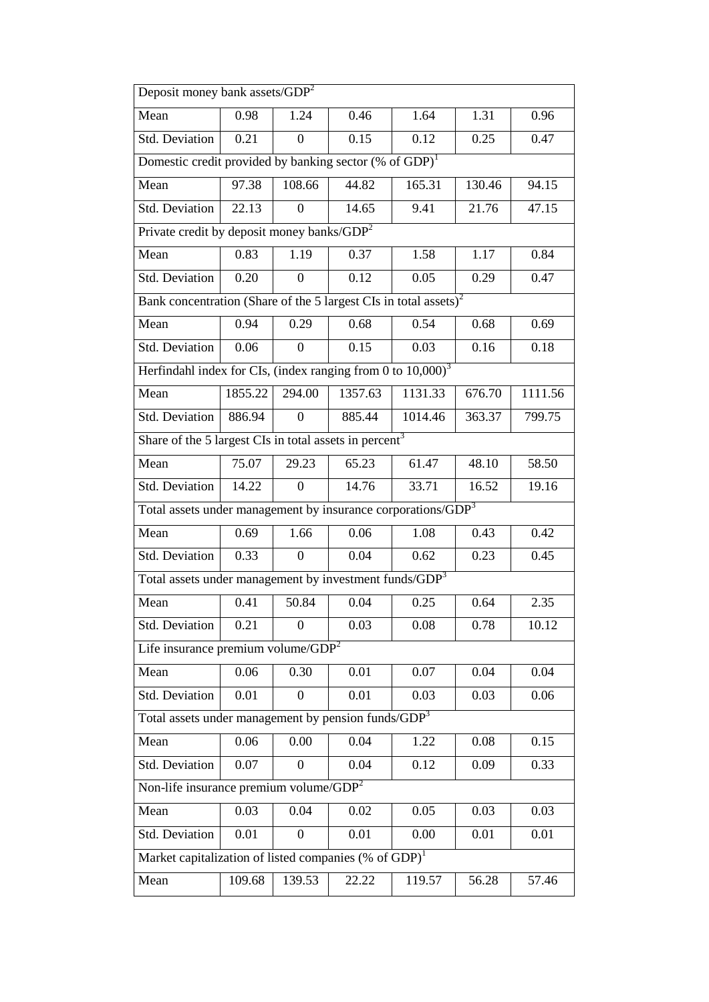| Deposit money bank assets/GDP <sup>2</sup>                                   |                                                                       |                  |         |         |        |         |  |  |  |  |
|------------------------------------------------------------------------------|-----------------------------------------------------------------------|------------------|---------|---------|--------|---------|--|--|--|--|
| Mean<br>0.46<br>0.98<br>1.24<br>1.64<br>1.31<br>0.96                         |                                                                       |                  |         |         |        |         |  |  |  |  |
| <b>Std. Deviation</b>                                                        | 0.21                                                                  | $\theta$         | 0.15    | 0.12    | 0.25   | 0.47    |  |  |  |  |
|                                                                              | Domestic credit provided by banking sector $(\%$ of GDP) <sup>1</sup> |                  |         |         |        |         |  |  |  |  |
| Mean                                                                         | 97.38                                                                 | 108.66           | 44.82   | 165.31  | 130.46 | 94.15   |  |  |  |  |
| Std. Deviation                                                               | 22.13                                                                 | $\theta$         | 14.65   | 9.41    | 21.76  | 47.15   |  |  |  |  |
| Private credit by deposit money banks/GDP <sup>2</sup>                       |                                                                       |                  |         |         |        |         |  |  |  |  |
| Mean                                                                         | 0.83                                                                  | 1.19             | 0.37    | 1.58    | 1.17   | 0.84    |  |  |  |  |
| Std. Deviation                                                               | 0.20                                                                  | $\theta$         | 0.12    | 0.05    | 0.29   | 0.47    |  |  |  |  |
| Bank concentration (Share of the 5 largest CIs in total assets) <sup>2</sup> |                                                                       |                  |         |         |        |         |  |  |  |  |
| Mean                                                                         | 0.94                                                                  | 0.29             | 0.68    | 0.54    | 0.68   | 0.69    |  |  |  |  |
| <b>Std. Deviation</b>                                                        | 0.06                                                                  | $\overline{0}$   | 0.15    | 0.03    | 0.16   | 0.18    |  |  |  |  |
| Herfindahl index for CIs, (index ranging from 0 to $10,000$ ) <sup>3</sup>   |                                                                       |                  |         |         |        |         |  |  |  |  |
| Mean                                                                         | 1855.22                                                               | 294.00           | 1357.63 | 1131.33 | 676.70 | 1111.56 |  |  |  |  |
| Std. Deviation                                                               | 886.94                                                                | 0                | 885.44  | 1014.46 | 363.37 | 799.75  |  |  |  |  |
| Share of the 5 largest CIs in total assets in percent <sup>3</sup>           |                                                                       |                  |         |         |        |         |  |  |  |  |
| Mean                                                                         | 75.07                                                                 | 29.23            | 65.23   | 61.47   | 48.10  | 58.50   |  |  |  |  |
| Std. Deviation                                                               | 14.22                                                                 | $\Omega$         | 14.76   | 33.71   | 16.52  | 19.16   |  |  |  |  |
| Total assets under management by insurance corporations/GDP <sup>3</sup>     |                                                                       |                  |         |         |        |         |  |  |  |  |
| Mean                                                                         | 0.69                                                                  | 1.66             | 0.06    | 1.08    | 0.43   | 0.42    |  |  |  |  |
| <b>Std. Deviation</b>                                                        | 0.33                                                                  | $\theta$         | 0.04    | 0.62    | 0.23   | 0.45    |  |  |  |  |
| Total assets under management by investment funds/GDP <sup>3</sup>           |                                                                       |                  |         |         |        |         |  |  |  |  |
| Mean                                                                         | 0.41                                                                  | 50.84            | 0.04    | 0.25    | 0.64   | 2.35    |  |  |  |  |
| Std. Deviation                                                               | 0.21                                                                  | $\overline{0}$   | 0.03    | 0.08    | 0.78   | 10.12   |  |  |  |  |
| Life insurance $\overline{\text{premium volume}/\text{GDP}^2}$               |                                                                       |                  |         |         |        |         |  |  |  |  |
| Mean                                                                         | 0.06                                                                  | 0.30             | 0.01    | 0.07    | 0.04   | 0.04    |  |  |  |  |
| <b>Std. Deviation</b>                                                        | 0.01                                                                  | $\overline{0}$   | 0.01    | 0.03    | 0.03   | 0.06    |  |  |  |  |
| Total assets under management by pension funds/GDP <sup>3</sup>              |                                                                       |                  |         |         |        |         |  |  |  |  |
| Mean                                                                         | 0.06                                                                  | 0.00             | 0.04    | 1.22    | 0.08   | 0.15    |  |  |  |  |
| Std. Deviation                                                               | 0.07                                                                  | $\boldsymbol{0}$ | 0.04    | 0.12    | 0.09   | 0.33    |  |  |  |  |
| Non-life insurance premium volume/GDP <sup>2</sup>                           |                                                                       |                  |         |         |        |         |  |  |  |  |
| Mean                                                                         | 0.03                                                                  | 0.04             | 0.02    | 0.05    | 0.03   | 0.03    |  |  |  |  |
| <b>Std. Deviation</b>                                                        | 0.01                                                                  | 0                | 0.01    | 0.00    | 0.01   | 0.01    |  |  |  |  |
| Market capitalization of listed companies (% of $GDP$ ) <sup>1</sup>         |                                                                       |                  |         |         |        |         |  |  |  |  |
| Mean                                                                         | 109.68                                                                | 139.53           | 22.22   | 119.57  | 56.28  | 57.46   |  |  |  |  |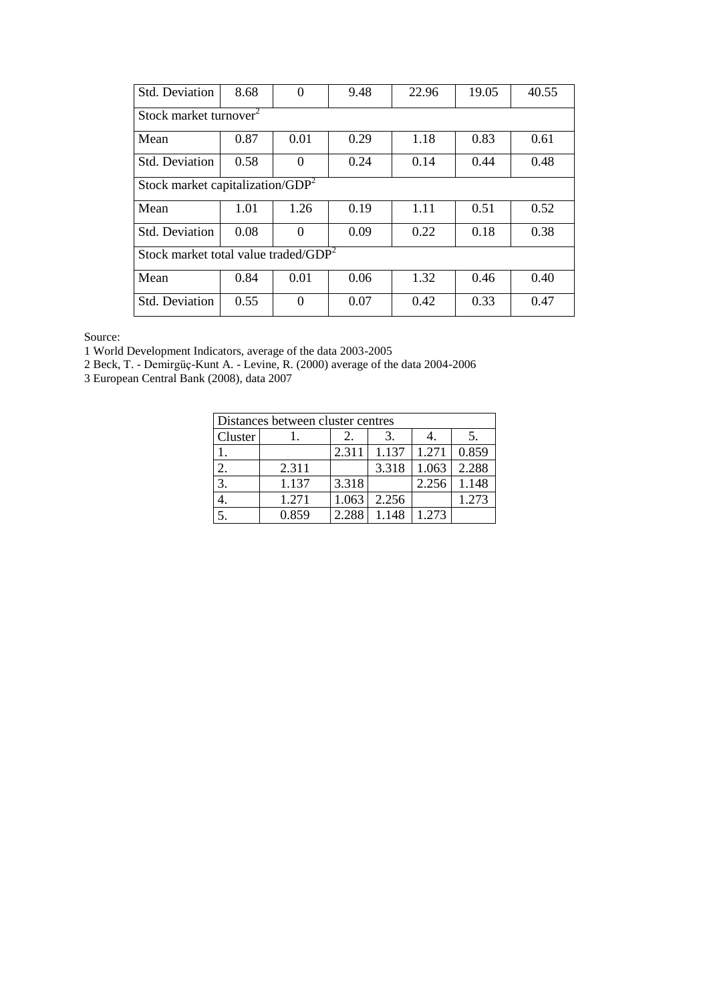| <b>Std. Deviation</b>                            | 8.68                                | $\theta$ | 9.48 | 22.96 | 19.05 | 40.55 |  |  |  |
|--------------------------------------------------|-------------------------------------|----------|------|-------|-------|-------|--|--|--|
| Stock market turnover <sup>2</sup>               |                                     |          |      |       |       |       |  |  |  |
| Mean                                             | 0.87                                | 0.01     | 0.29 | 1.18  | 0.83  | 0.61  |  |  |  |
| Std. Deviation                                   | 0.58                                | $\theta$ | 0.24 | 0.14  | 0.44  | 0.48  |  |  |  |
|                                                  | Stock market capitalization/ $GDP2$ |          |      |       |       |       |  |  |  |
| Mean                                             | 1.01                                | 1.26     | 0.19 | 1.11  | 0.51  | 0.52  |  |  |  |
| Std. Deviation                                   | 0.08                                | 0        | 0.09 | 0.22  | 0.18  | 0.38  |  |  |  |
| Stock market total value traded/GDP <sup>2</sup> |                                     |          |      |       |       |       |  |  |  |
| Mean                                             | 0.84                                | 0.01     | 0.06 | 1.32  | 0.46  | 0.40  |  |  |  |
| Std. Deviation                                   | 0.55                                | $\theta$ | 0.07 | 0.42  | 0.33  | 0.47  |  |  |  |

1 World Development Indicators, average of the data 2003-2005

2 Beck, T. - Demirgüç-Kunt A. - Levine, R. (2000) average of the data 2004-2006

3 European Central Bank (2008), data 2007

| Distances between cluster centres |       |       |       |       |       |  |  |  |
|-----------------------------------|-------|-------|-------|-------|-------|--|--|--|
| <b>Cluster</b>                    |       | 2.    |       |       |       |  |  |  |
|                                   |       | 2.311 | 1.137 | 1.271 | 0.859 |  |  |  |
|                                   | 2.311 |       | 3.318 | 1.063 | 2.288 |  |  |  |
| 3.                                | 1.137 | 3.318 |       | 2.256 | 1.148 |  |  |  |
|                                   | 1.271 | 1.063 | 2.256 |       | 1.273 |  |  |  |
|                                   | 0.859 | 2.288 |       | 1.273 |       |  |  |  |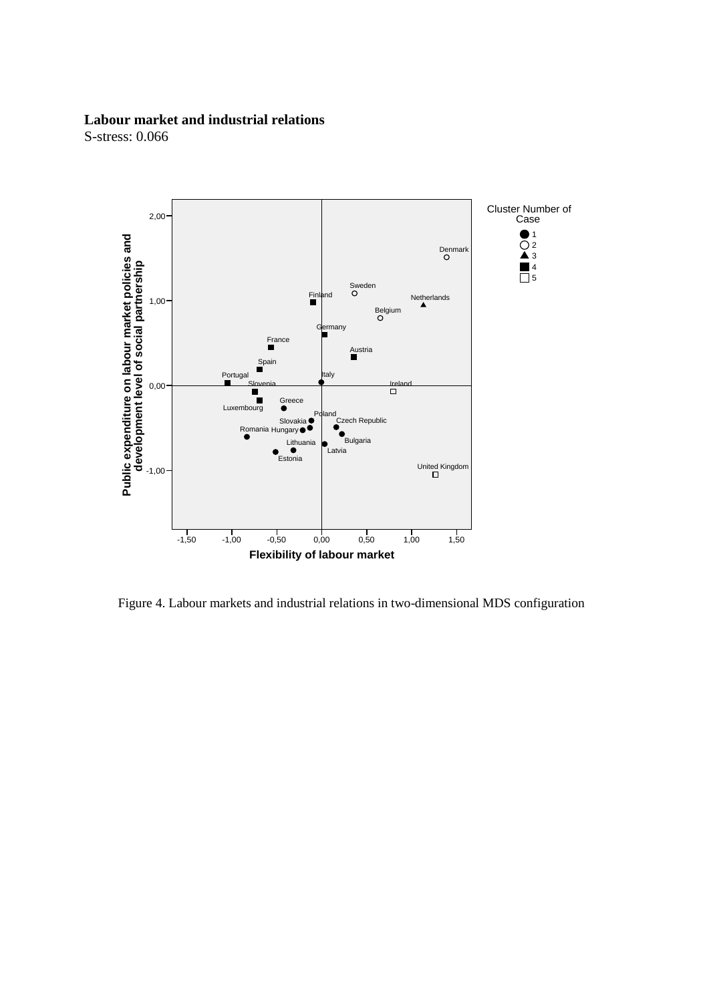### **Labour market and industrial relations**



Figure 4. Labour markets and industrial relations in two-dimensional MDS configuration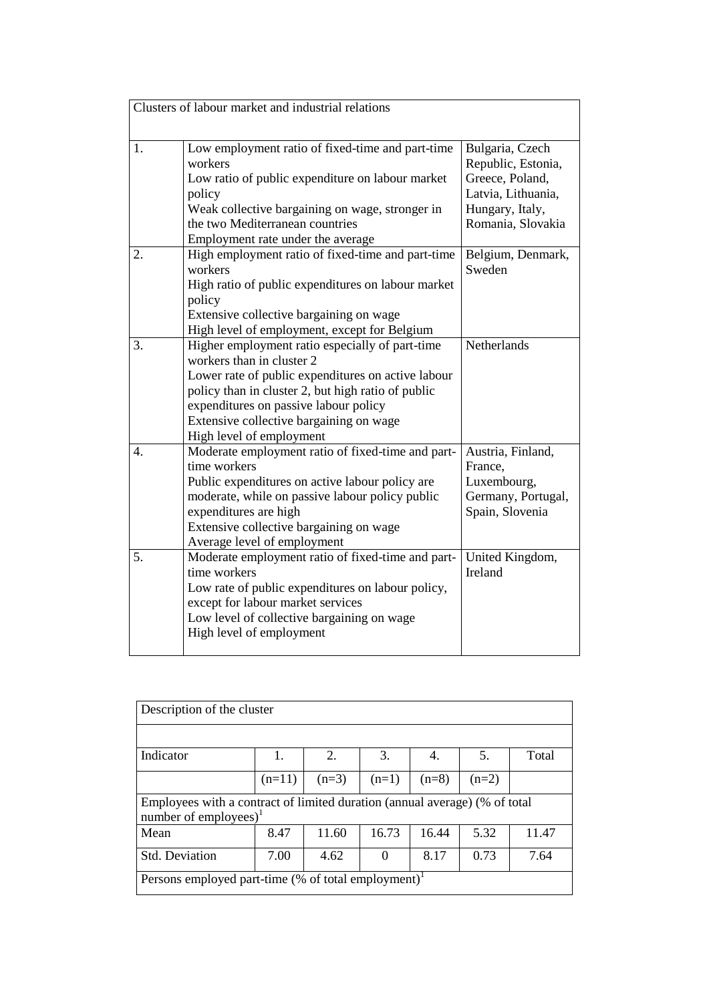|                  | Clusters of labour market and industrial relations                                                                                                                                                                                                                                                       |                                                                                                                        |
|------------------|----------------------------------------------------------------------------------------------------------------------------------------------------------------------------------------------------------------------------------------------------------------------------------------------------------|------------------------------------------------------------------------------------------------------------------------|
| 1.               | Low employment ratio of fixed-time and part-time<br>workers<br>Low ratio of public expenditure on labour market<br>policy<br>Weak collective bargaining on wage, stronger in<br>the two Mediterranean countries<br>Employment rate under the average                                                     | Bulgaria, Czech<br>Republic, Estonia,<br>Greece, Poland,<br>Latvia, Lithuania,<br>Hungary, Italy,<br>Romania, Slovakia |
| 2.               | High employment ratio of fixed-time and part-time<br>workers<br>High ratio of public expenditures on labour market<br>policy<br>Extensive collective bargaining on wage<br>High level of employment, except for Belgium                                                                                  | Belgium, Denmark,<br>Sweden                                                                                            |
| 3.               | Higher employment ratio especially of part-time<br>workers than in cluster 2<br>Lower rate of public expenditures on active labour<br>policy than in cluster 2, but high ratio of public<br>expenditures on passive labour policy<br>Extensive collective bargaining on wage<br>High level of employment | Netherlands                                                                                                            |
| $\overline{4}$ . | Moderate employment ratio of fixed-time and part-<br>time workers<br>Public expenditures on active labour policy are<br>moderate, while on passive labour policy public<br>expenditures are high<br>Extensive collective bargaining on wage<br>Average level of employment                               | Austria, Finland,<br>France,<br>Luxembourg,<br>Germany, Portugal,<br>Spain, Slovenia                                   |
| 5 <sub>1</sub>   | Moderate employment ratio of fixed-time and part-<br>time workers<br>Low rate of public expenditures on labour policy,<br>except for labour market services<br>Low level of collective bargaining on wage<br>High level of employment                                                                    | United Kingdom,<br>Ireland                                                                                             |

| Description of the cluster                                      |                                                                            |         |          |         |         |       |  |  |
|-----------------------------------------------------------------|----------------------------------------------------------------------------|---------|----------|---------|---------|-------|--|--|
|                                                                 |                                                                            |         |          |         |         |       |  |  |
| Indicator                                                       | 1.                                                                         | 2.      | 3.       | 4.      | 5.      | Total |  |  |
|                                                                 | $(n=11)$                                                                   | $(n=3)$ | $(n=1)$  | $(n=8)$ | $(n=2)$ |       |  |  |
| number of employees) $1$                                        | Employees with a contract of limited duration (annual average) (% of total |         |          |         |         |       |  |  |
| Mean                                                            | 8.47                                                                       | 11.60   | 16.73    | 16.44   | 5.32    | 11.47 |  |  |
| Std. Deviation                                                  | 7.00                                                                       | 4.62    | $\Omega$ | 8.17    | 0.73    | 7.64  |  |  |
| Persons employed part-time (% of total employment) <sup>1</sup> |                                                                            |         |          |         |         |       |  |  |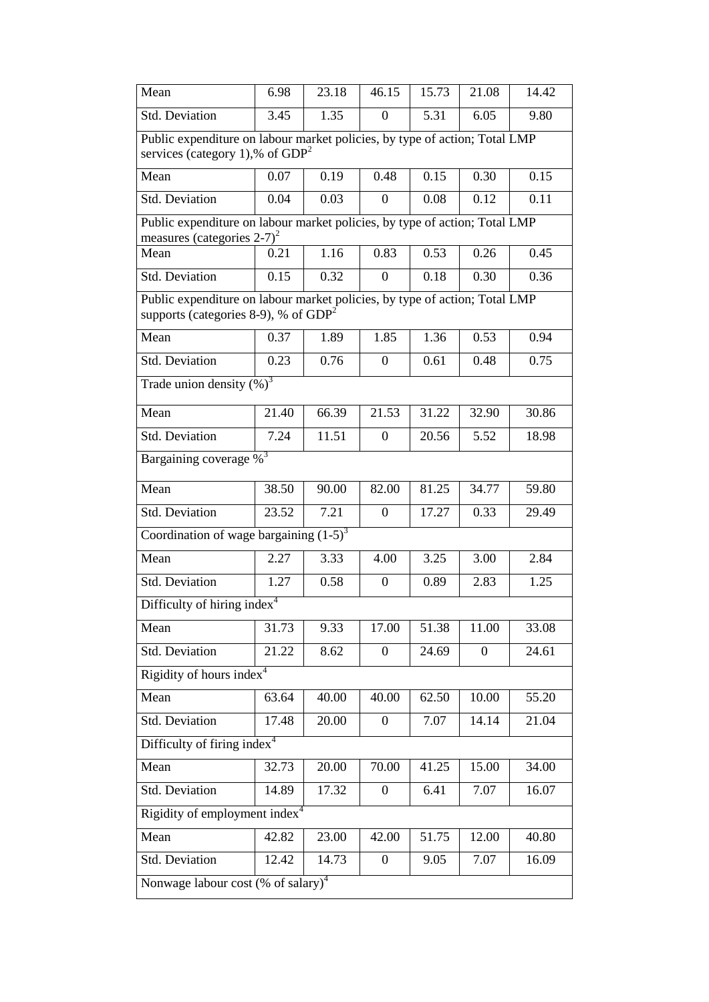| Mean                                                                                                                    | 6.98  | 23.18 | 46.15            | 15.73 | 21.08    | 14.42 |  |  |  |
|-------------------------------------------------------------------------------------------------------------------------|-------|-------|------------------|-------|----------|-------|--|--|--|
| Std. Deviation                                                                                                          | 3.45  | 1.35  | $\overline{0}$   | 5.31  | 6.05     | 9.80  |  |  |  |
| Public expenditure on labour market policies, by type of action; Total LMP<br>services (category 1),% of $GDP2$         |       |       |                  |       |          |       |  |  |  |
| Mean                                                                                                                    | 0.07  | 0.19  | 0.48             | 0.15  | 0.30     | 0.15  |  |  |  |
| Std. Deviation                                                                                                          | 0.04  | 0.03  | $\boldsymbol{0}$ | 0.08  | 0.12     | 0.11  |  |  |  |
| Public expenditure on labour market policies, by type of action; Total LMP<br>measures (categories $2-7$ ) <sup>2</sup> |       |       |                  |       |          |       |  |  |  |
| Mean                                                                                                                    | 0.21  | 1.16  | 0.83             | 0.53  | 0.26     | 0.45  |  |  |  |
| Std. Deviation                                                                                                          | 0.15  | 0.32  | $\theta$         | 0.18  | 0.30     | 0.36  |  |  |  |
| Public expenditure on labour market policies, by type of action; Total LMP<br>supports (categories 8-9), % of $GDP2$    |       |       |                  |       |          |       |  |  |  |
| Mean                                                                                                                    | 0.37  | 1.89  | 1.85             | 1.36  | 0.53     | 0.94  |  |  |  |
| Std. Deviation                                                                                                          | 0.23  | 0.76  | $\Omega$         | 0.61  | 0.48     | 0.75  |  |  |  |
| Trade union density $(\%)^3$                                                                                            |       |       |                  |       |          |       |  |  |  |
| Mean                                                                                                                    | 21.40 | 66.39 | 21.53            | 31.22 | 32.90    | 30.86 |  |  |  |
| Std. Deviation                                                                                                          | 7.24  | 11.51 | $\theta$         | 20.56 | 5.52     | 18.98 |  |  |  |
| Bargaining coverage % <sup>3</sup>                                                                                      |       |       |                  |       |          |       |  |  |  |
| Mean                                                                                                                    | 38.50 | 90.00 | 82.00            | 81.25 | 34.77    | 59.80 |  |  |  |
| Std. Deviation                                                                                                          | 23.52 | 7.21  | $\Omega$         | 17.27 | 0.33     | 29.49 |  |  |  |
| Coordination of wage bargaining $(1-5)^3$                                                                               |       |       |                  |       |          |       |  |  |  |
| Mean                                                                                                                    | 2.27  | 3.33  | 4.00             | 3.25  | 3.00     | 2.84  |  |  |  |
| Std. Deviation                                                                                                          | 1.27  | 0.58  | $\overline{0}$   | 0.89  | 2.83     | 1.25  |  |  |  |
| Difficulty of hiring index <sup>4</sup>                                                                                 |       |       |                  |       |          |       |  |  |  |
| Mean                                                                                                                    | 31.73 | 9.33  | 17.00            | 51.38 | 11.00    | 33.08 |  |  |  |
| Std. Deviation                                                                                                          | 21.22 | 8.62  | $\Omega$         | 24.69 | $\Omega$ | 24.61 |  |  |  |
| Rigidity of hours index <sup>4</sup>                                                                                    |       |       |                  |       |          |       |  |  |  |
| Mean                                                                                                                    | 63.64 | 40.00 | 40.00            | 62.50 | 10.00    | 55.20 |  |  |  |
| Std. Deviation                                                                                                          | 17.48 | 20.00 | $\overline{0}$   | 7.07  | 14.14    | 21.04 |  |  |  |
| Difficulty of firing index <sup>4</sup>                                                                                 |       |       |                  |       |          |       |  |  |  |
| Mean                                                                                                                    | 32.73 | 20.00 | 70.00            | 41.25 | 15.00    | 34.00 |  |  |  |
| Std. Deviation                                                                                                          | 14.89 | 17.32 | $\overline{0}$   | 6.41  | 7.07     | 16.07 |  |  |  |
| Rigidity of employment index <sup>4</sup>                                                                               |       |       |                  |       |          |       |  |  |  |
| Mean                                                                                                                    | 42.82 | 23.00 | 42.00            | 51.75 | 12.00    | 40.80 |  |  |  |
| <b>Std. Deviation</b>                                                                                                   | 12.42 | 14.73 | $\overline{0}$   | 9.05  | 7.07     | 16.09 |  |  |  |
| Nonwage labour cost (% of salary) <sup>4</sup>                                                                          |       |       |                  |       |          |       |  |  |  |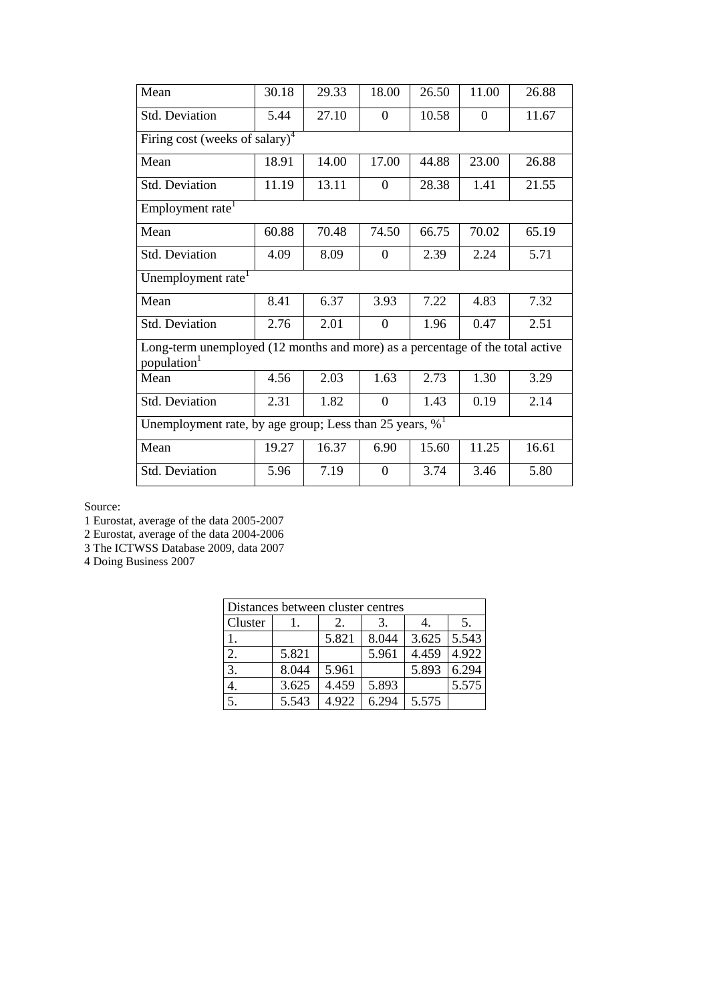| Mean                                       | 30.18                                                                         | 29.33 | 18.00          | 26.50 | 11.00          | 26.88 |  |  |  |
|--------------------------------------------|-------------------------------------------------------------------------------|-------|----------------|-------|----------------|-------|--|--|--|
| Std. Deviation                             | 5.44                                                                          | 27.10 | $\Omega$       | 10.58 | $\overline{0}$ | 11.67 |  |  |  |
| Firing cost (weeks of salary) <sup>4</sup> |                                                                               |       |                |       |                |       |  |  |  |
| Mean                                       | 18.91                                                                         | 14.00 | 17.00          | 44.88 | 23.00          | 26.88 |  |  |  |
| Std. Deviation                             | 11.19                                                                         | 13.11 | $\theta$       | 28.38 | 1.41           | 21.55 |  |  |  |
| Employment rate <sup>1</sup>               |                                                                               |       |                |       |                |       |  |  |  |
| Mean                                       | 60.88                                                                         | 70.48 | 74.50          | 66.75 | 70.02          | 65.19 |  |  |  |
| <b>Std. Deviation</b>                      | 4.09                                                                          | 8.09  | $\theta$       | 2.39  | 2.24           | 5.71  |  |  |  |
| Unemployment rate <sup>1</sup>             |                                                                               |       |                |       |                |       |  |  |  |
| Mean                                       | 8.41                                                                          | 6.37  | 3.93           | 7.22  | 4.83           | 7.32  |  |  |  |
| Std. Deviation                             | 2.76                                                                          | 2.01  | $\Omega$       | 1.96  | 0.47           | 2.51  |  |  |  |
| population <sup>1</sup>                    | Long-term unemployed (12 months and more) as a percentage of the total active |       |                |       |                |       |  |  |  |
| Mean                                       | 4.56                                                                          | 2.03  | 1.63           | 2.73  | 1.30           | 3.29  |  |  |  |
| Std. Deviation                             | 2.31                                                                          | 1.82  | $\overline{0}$ | 1.43  | 0.19           | 2.14  |  |  |  |
|                                            | Unemployment rate, by age group; Less than 25 years, $\%$ <sup>1</sup>        |       |                |       |                |       |  |  |  |
| Mean                                       | 19.27                                                                         | 16.37 | 6.90           | 15.60 | 11.25          | 16.61 |  |  |  |
| Std. Deviation                             | 5.96                                                                          | 7.19  | $\overline{0}$ | 3.74  | 3.46           | 5.80  |  |  |  |

1 Eurostat, average of the data 2005-2007

2 Eurostat, average of the data 2004-2006

3 The ICTWSS Database 2009, data 2007

4 Doing Business 2007

| Distances between cluster centres |       |       |       |       |       |  |  |
|-----------------------------------|-------|-------|-------|-------|-------|--|--|
| Cluster                           |       | 2.    | 3.    |       | 5.    |  |  |
|                                   |       | 5.821 | 8.044 | 3.625 | 5.543 |  |  |
| 2.                                | 5.821 |       | 5.961 | 4.459 | 4.922 |  |  |
| 3.                                | 8.044 | 5.961 |       | 5.893 | 6.294 |  |  |
|                                   | 3.625 | 4.459 | 5.893 |       | 5.575 |  |  |
| $\overline{5}$ .                  | 5.543 | 4.922 | 6.294 | 5.575 |       |  |  |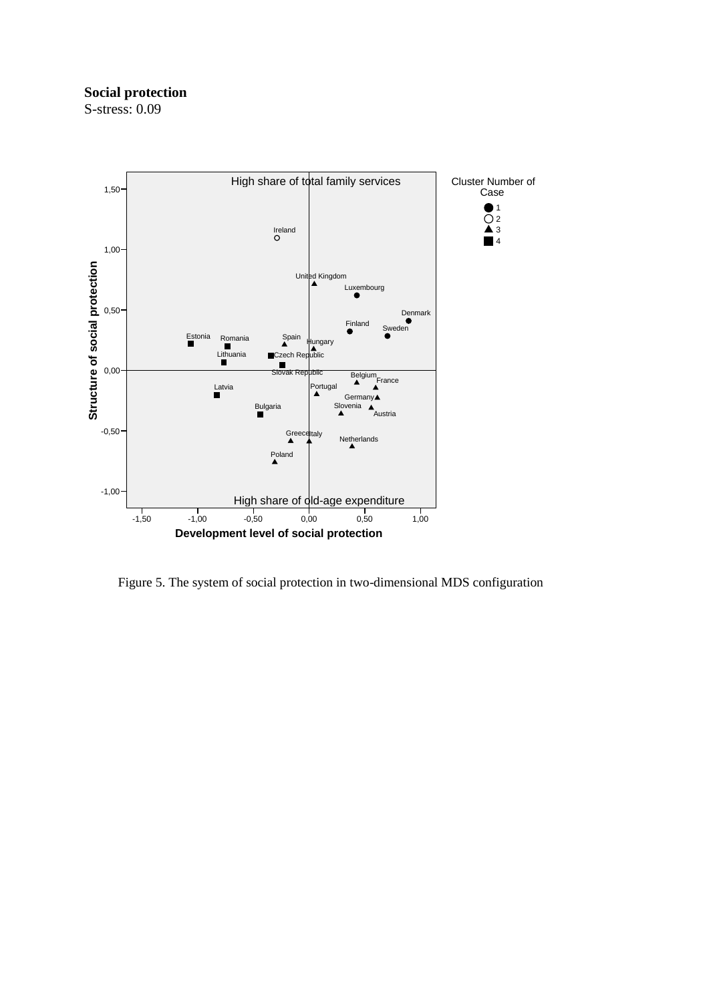## **Social protection**



Figure 5. The system of social protection in two-dimensional MDS configuration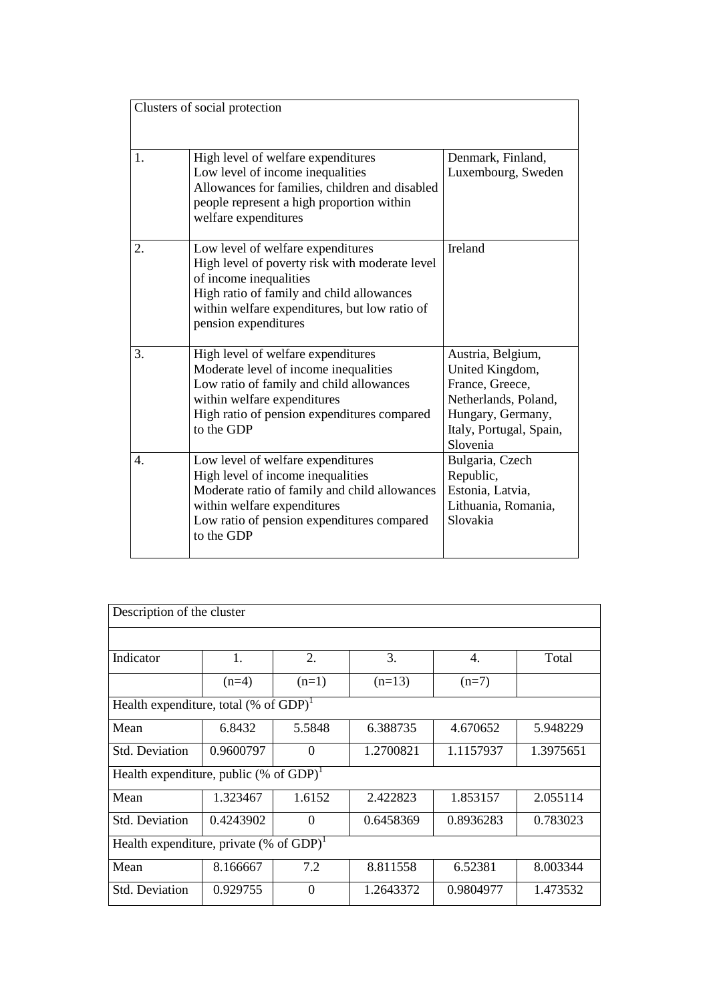|    | Clusters of social protection                                                                                                                                                                                                       |                                                                                                                                             |
|----|-------------------------------------------------------------------------------------------------------------------------------------------------------------------------------------------------------------------------------------|---------------------------------------------------------------------------------------------------------------------------------------------|
| 1. | High level of welfare expenditures<br>Low level of income inequalities<br>Allowances for families, children and disabled<br>people represent a high proportion within<br>welfare expenditures                                       | Denmark, Finland,<br>Luxembourg, Sweden                                                                                                     |
| 2. | Low level of welfare expenditures<br>High level of poverty risk with moderate level<br>of income inequalities<br>High ratio of family and child allowances<br>within welfare expenditures, but low ratio of<br>pension expenditures | <b>Ireland</b>                                                                                                                              |
| 3. | High level of welfare expenditures<br>Moderate level of income inequalities<br>Low ratio of family and child allowances<br>within welfare expenditures<br>High ratio of pension expenditures compared<br>to the GDP                 | Austria, Belgium,<br>United Kingdom,<br>France, Greece,<br>Netherlands, Poland,<br>Hungary, Germany,<br>Italy, Portugal, Spain,<br>Slovenia |
| 4. | Low level of welfare expenditures<br>High level of income inequalities<br>Moderate ratio of family and child allowances<br>within welfare expenditures<br>Low ratio of pension expenditures compared<br>to the GDP                  | Bulgaria, Czech<br>Republic,<br>Estonia, Latvia,<br>Lithuania, Romania,<br>Slovakia                                                         |

| Description of the cluster                             |           |          |           |           |           |  |  |  |
|--------------------------------------------------------|-----------|----------|-----------|-----------|-----------|--|--|--|
|                                                        |           |          |           |           |           |  |  |  |
| Indicator                                              | 1.        | 2.       | 3.        | 4.        | Total     |  |  |  |
|                                                        | $(n=4)$   | $(n=1)$  | $(n=13)$  | $(n=7)$   |           |  |  |  |
| Health expenditure, total (% of $GDP$ ) <sup>1</sup>   |           |          |           |           |           |  |  |  |
| Mean                                                   | 6.8432    | 5.5848   | 6.388735  | 4.670652  | 5.948229  |  |  |  |
| <b>Std. Deviation</b>                                  | 0.9600797 | $\Omega$ | 1.2700821 | 1.1157937 | 1.3975651 |  |  |  |
| Health expenditure, public (% of $GDP$ ) <sup>1</sup>  |           |          |           |           |           |  |  |  |
| Mean                                                   | 1.323467  | 1.6152   | 2.422823  | 1.853157  | 2.055114  |  |  |  |
| <b>Std. Deviation</b>                                  | 0.4243902 | $\theta$ | 0.6458369 | 0.8936283 | 0.783023  |  |  |  |
| Health expenditure, private $(\%$ of GDP) <sup>1</sup> |           |          |           |           |           |  |  |  |
| Mean                                                   | 8.166667  | 7.2      | 8.811558  | 6.52381   | 8.003344  |  |  |  |
| <b>Std. Deviation</b>                                  | 0.929755  | $\Omega$ | 1.2643372 | 0.9804977 | 1.473532  |  |  |  |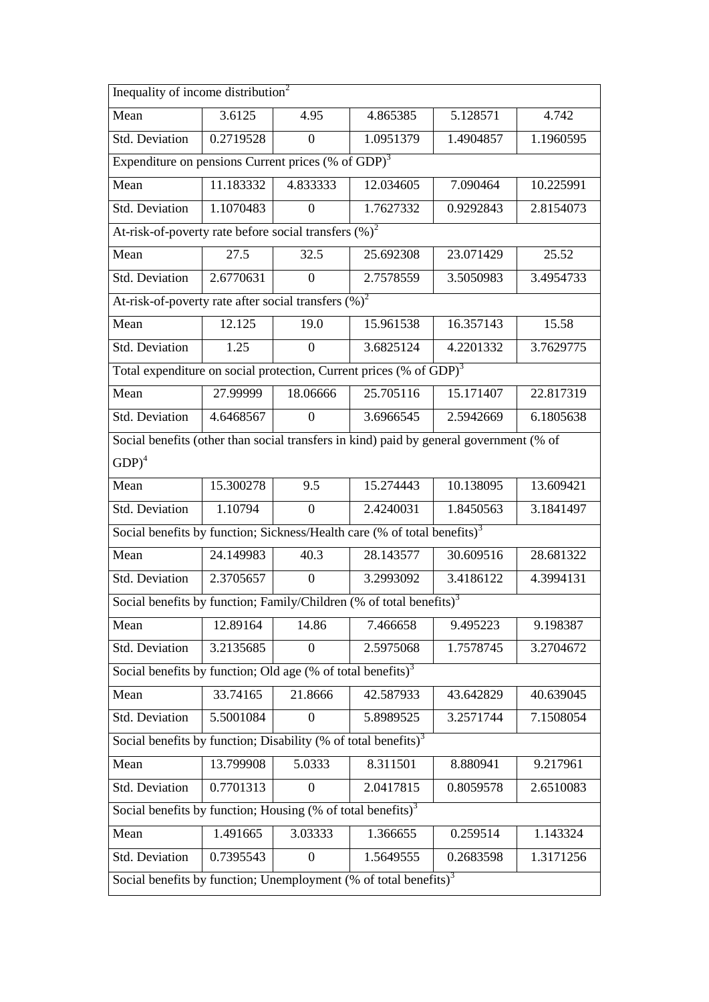| Inequality of income distribution <sup>2</sup>                                         |                                                                                |                |           |           |           |  |  |  |  |
|----------------------------------------------------------------------------------------|--------------------------------------------------------------------------------|----------------|-----------|-----------|-----------|--|--|--|--|
| Mean                                                                                   | 3.6125                                                                         | 4.95           | 4.865385  | 5.128571  | 4.742     |  |  |  |  |
| Std. Deviation                                                                         | 0.2719528                                                                      | $\overline{0}$ | 1.0951379 | 1.4904857 | 1.1960595 |  |  |  |  |
| Expenditure on pensions Current prices (% of GDP) <sup>3</sup>                         |                                                                                |                |           |           |           |  |  |  |  |
| Mean                                                                                   | 11.183332                                                                      | 4.833333       | 12.034605 | 7.090464  | 10.225991 |  |  |  |  |
| Std. Deviation                                                                         | 1.1070483                                                                      | $\Omega$       | 1.7627332 | 0.9292843 | 2.8154073 |  |  |  |  |
| At-risk-of-poverty rate before social transfers $(\%)^2$                               |                                                                                |                |           |           |           |  |  |  |  |
| Mean                                                                                   | 27.5                                                                           | 32.5           | 25.692308 | 23.071429 | 25.52     |  |  |  |  |
| Std. Deviation                                                                         | 2.6770631                                                                      | $\theta$       | 2.7578559 | 3.5050983 | 3.4954733 |  |  |  |  |
| At-risk-of-poverty rate after social transfers $(\%)^2$                                |                                                                                |                |           |           |           |  |  |  |  |
| Mean                                                                                   | 12.125                                                                         | 19.0           | 15.961538 | 16.357143 | 15.58     |  |  |  |  |
| Std. Deviation                                                                         | 1.25                                                                           | $\Omega$       | 3.6825124 | 4.2201332 | 3.7629775 |  |  |  |  |
|                                                                                        | Total expenditure on social protection, Current prices (% of GDP) <sup>3</sup> |                |           |           |           |  |  |  |  |
| Mean                                                                                   | 27.99999                                                                       | 18.06666       | 25.705116 | 15.171407 | 22.817319 |  |  |  |  |
| Std. Deviation                                                                         | 4.6468567                                                                      | $\Omega$       | 3.6966545 | 2.5942669 | 6.1805638 |  |  |  |  |
| Social benefits (other than social transfers in kind) paid by general government (% of |                                                                                |                |           |           |           |  |  |  |  |
| $GDP)^4$                                                                               |                                                                                |                |           |           |           |  |  |  |  |
| Mean                                                                                   | 15.300278                                                                      | 9.5            | 15.274443 | 10.138095 | 13.609421 |  |  |  |  |
| Std. Deviation                                                                         | 1.10794                                                                        | $\mathbf{0}$   | 2.4240031 | 1.8450563 | 3.1841497 |  |  |  |  |
| Social benefits by function; Sickness/Health care (% of total benefits) <sup>3</sup>   |                                                                                |                |           |           |           |  |  |  |  |
| Mean                                                                                   | 24.149983                                                                      | 40.3           | 28.143577 | 30.609516 | 28.681322 |  |  |  |  |
| Std. Deviation                                                                         | 2.3705657                                                                      | $\overline{0}$ | 3.2993092 | 3.4186122 | 4.3994131 |  |  |  |  |
| Social benefits by function; Family/Children (% of total benefits) <sup>3</sup>        |                                                                                |                |           |           |           |  |  |  |  |
| Mean                                                                                   | 12.89164                                                                       | 14.86          | 7.466658  | 9.495223  | 9.198387  |  |  |  |  |
| Std. Deviation                                                                         | 3.2135685                                                                      | $\theta$       | 2.5975068 | 1.7578745 | 3.2704672 |  |  |  |  |
| Social benefits by function; Old age (% of total benefits) <sup>3</sup>                |                                                                                |                |           |           |           |  |  |  |  |
| Mean                                                                                   | 33.74165                                                                       | 21.8666        | 42.587933 | 43.642829 | 40.639045 |  |  |  |  |
| Std. Deviation                                                                         | 5.5001084                                                                      | $\Omega$       | 5.8989525 | 3.2571744 | 7.1508054 |  |  |  |  |
| Social benefits by function; Disability (% of total benefits) <sup>3</sup>             |                                                                                |                |           |           |           |  |  |  |  |
| Mean                                                                                   | 13.799908                                                                      | 5.0333         | 8.311501  | 8.880941  | 9.217961  |  |  |  |  |
| Std. Deviation                                                                         | 0.7701313                                                                      | $\Omega$       | 2.0417815 | 0.8059578 | 2.6510083 |  |  |  |  |
| Social benefits by function; Housing $%$ of total benefits) <sup>3</sup>               |                                                                                |                |           |           |           |  |  |  |  |
| Mean                                                                                   | 1.491665                                                                       | 3.03333        | 1.366655  | 0.259514  | 1.143324  |  |  |  |  |
| Std. Deviation                                                                         | 0.7395543                                                                      | $\theta$       | 1.5649555 | 0.2683598 | 1.3171256 |  |  |  |  |
| Social benefits by function; Unemployment (% of total benefits) $3$                    |                                                                                |                |           |           |           |  |  |  |  |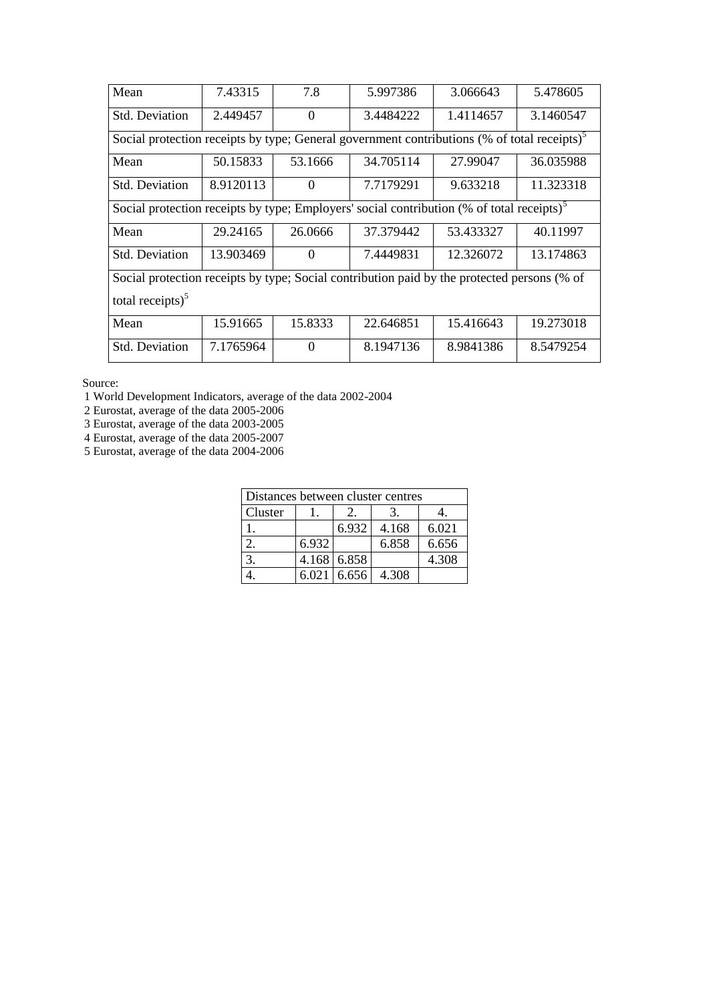| 7.43315                                                                                                 | 7.8      | 5.997386  | 3.066643  | 5.478605  |  |  |  |  |  |
|---------------------------------------------------------------------------------------------------------|----------|-----------|-----------|-----------|--|--|--|--|--|
| 2.449457                                                                                                | $\Omega$ | 3.4484222 | 1.4114657 | 3.1460547 |  |  |  |  |  |
| Social protection receipts by type; General government contributions (% of total receipts) <sup>5</sup> |          |           |           |           |  |  |  |  |  |
| 50.15833                                                                                                | 53.1666  | 34.705114 | 27.99047  | 36.035988 |  |  |  |  |  |
| 8.9120113                                                                                               | $\Omega$ | 7.7179291 | 9.633218  | 11.323318 |  |  |  |  |  |
| Social protection receipts by type; Employers' social contribution (% of total receipts) <sup>5</sup>   |          |           |           |           |  |  |  |  |  |
| 29.24165                                                                                                | 26.0666  | 37.379442 | 53.433327 | 40.11997  |  |  |  |  |  |
| 13.903469                                                                                               | $\Omega$ | 7.4449831 | 12.326072 | 13.174863 |  |  |  |  |  |
| Social protection receipts by type; Social contribution paid by the protected persons (% of             |          |           |           |           |  |  |  |  |  |
| total receipts $)^5$                                                                                    |          |           |           |           |  |  |  |  |  |
| 15.91665                                                                                                | 15.8333  | 22.646851 | 15.416643 | 19.273018 |  |  |  |  |  |
| 7.1765964                                                                                               | $\Omega$ | 8.1947136 | 8.9841386 | 8.5479254 |  |  |  |  |  |
|                                                                                                         |          |           |           |           |  |  |  |  |  |

1 World Development Indicators, average of the data 2002-2004

2 Eurostat, average of the data 2005-2006

3 Eurostat, average of the data 2003-2005

4 Eurostat, average of the data 2005-2007

5 Eurostat, average of the data 2004-2006

| Distances between cluster centres |       |               |       |       |  |  |
|-----------------------------------|-------|---------------|-------|-------|--|--|
| Cluster                           |       |               |       |       |  |  |
|                                   |       | 6.932         | 4.168 | 6.021 |  |  |
|                                   | 6.932 |               | 6.858 | 6.656 |  |  |
| 3.                                |       | 4.168 6.858   |       | 4.308 |  |  |
|                                   |       | $6.021$ 6.656 | 4.308 |       |  |  |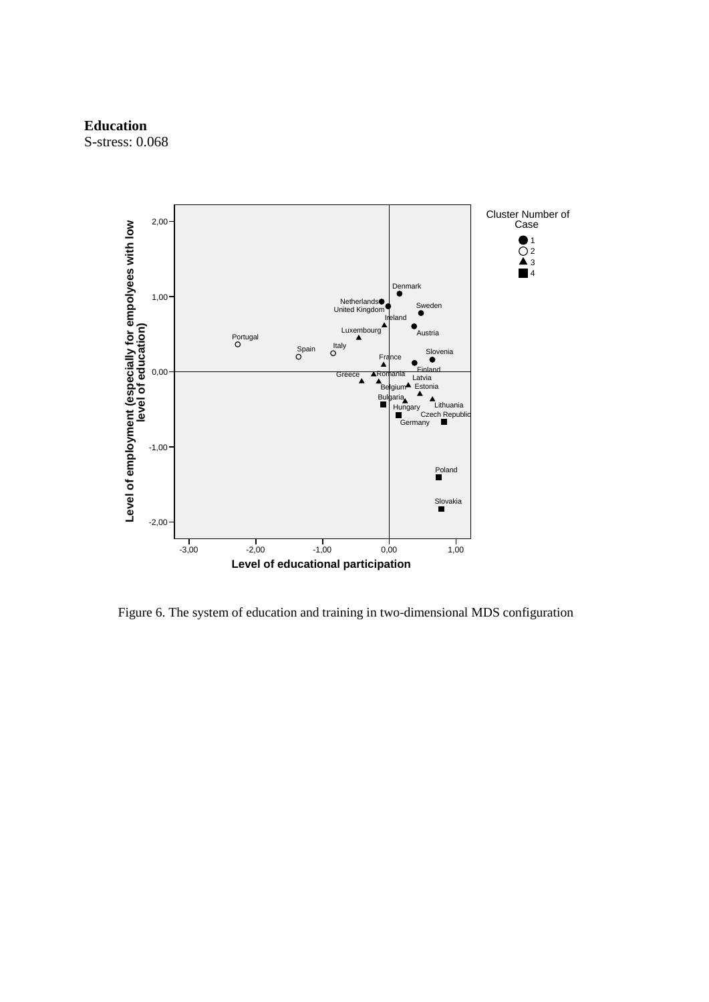#### **Education**



Figure 6. The system of education and training in two-dimensional MDS configuration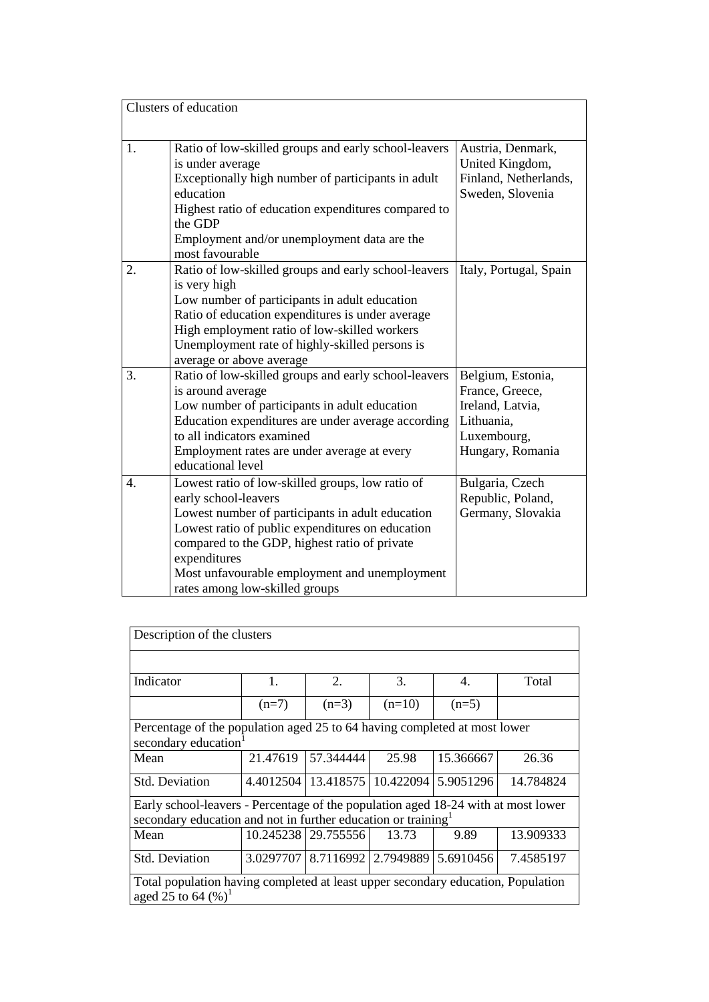|                  | Clusters of education                                                                                                                                                                                                                                                                                                                |                                                                                                           |
|------------------|--------------------------------------------------------------------------------------------------------------------------------------------------------------------------------------------------------------------------------------------------------------------------------------------------------------------------------------|-----------------------------------------------------------------------------------------------------------|
| 1.               | Ratio of low-skilled groups and early school-leavers<br>is under average<br>Exceptionally high number of participants in adult<br>education<br>Highest ratio of education expenditures compared to<br>the GDP<br>Employment and/or unemployment data are the<br>most favourable                                                      | Austria, Denmark,<br>United Kingdom,<br>Finland, Netherlands,<br>Sweden, Slovenia                         |
| 2.               | Ratio of low-skilled groups and early school-leavers<br>is very high<br>Low number of participants in adult education<br>Ratio of education expenditures is under average<br>High employment ratio of low-skilled workers<br>Unemployment rate of highly-skilled persons is<br>average or above average                              | Italy, Portugal, Spain                                                                                    |
| 3.               | Ratio of low-skilled groups and early school-leavers<br>is around average<br>Low number of participants in adult education<br>Education expenditures are under average according<br>to all indicators examined<br>Employment rates are under average at every<br>educational level                                                   | Belgium, Estonia,<br>France, Greece,<br>Ireland, Latvia,<br>Lithuania,<br>Luxembourg,<br>Hungary, Romania |
| $\overline{4}$ . | Lowest ratio of low-skilled groups, low ratio of<br>early school-leavers<br>Lowest number of participants in adult education<br>Lowest ratio of public expenditures on education<br>compared to the GDP, highest ratio of private<br>expenditures<br>Most unfavourable employment and unemployment<br>rates among low-skilled groups | Bulgaria, Czech<br>Republic, Poland,<br>Germany, Slovakia                                                 |

| Description of the clusters                                                                                   |           |                                               |          |           |           |  |
|---------------------------------------------------------------------------------------------------------------|-----------|-----------------------------------------------|----------|-----------|-----------|--|
|                                                                                                               |           |                                               |          |           |           |  |
| Indicator                                                                                                     | 1.        | $\overline{2}$ .                              | 3.       | 4.        | Total     |  |
|                                                                                                               | $(n=7)$   | $(n=3)$                                       | $(n=10)$ | $(n=5)$   |           |  |
| Percentage of the population aged 25 to 64 having completed at most lower<br>secondary education <sup>1</sup> |           |                                               |          |           |           |  |
| Mean                                                                                                          | 21.47619  | 57.344444                                     | 25.98    | 15.366667 | 26.36     |  |
| <b>Std. Deviation</b>                                                                                         |           | 4.4012504   13.418575   10.422094   5.9051296 |          |           | 14.784824 |  |
| Early school-leavers - Percentage of the population aged 18-24 with at most lower                             |           |                                               |          |           |           |  |
| secondary education and not in further education or training <sup>1</sup>                                     |           |                                               |          |           |           |  |
| Mean                                                                                                          |           | 10.245238 29.755556                           | 13.73    | 9.89      | 13.909333 |  |
| <b>Std. Deviation</b>                                                                                         | 3.0297707 | 8.7116992 2.7949889 5.6910456                 |          |           | 7.4585197 |  |
| Total population having completed at least upper secondary education, Population<br>aged 25 to 64 $(\%)^1$    |           |                                               |          |           |           |  |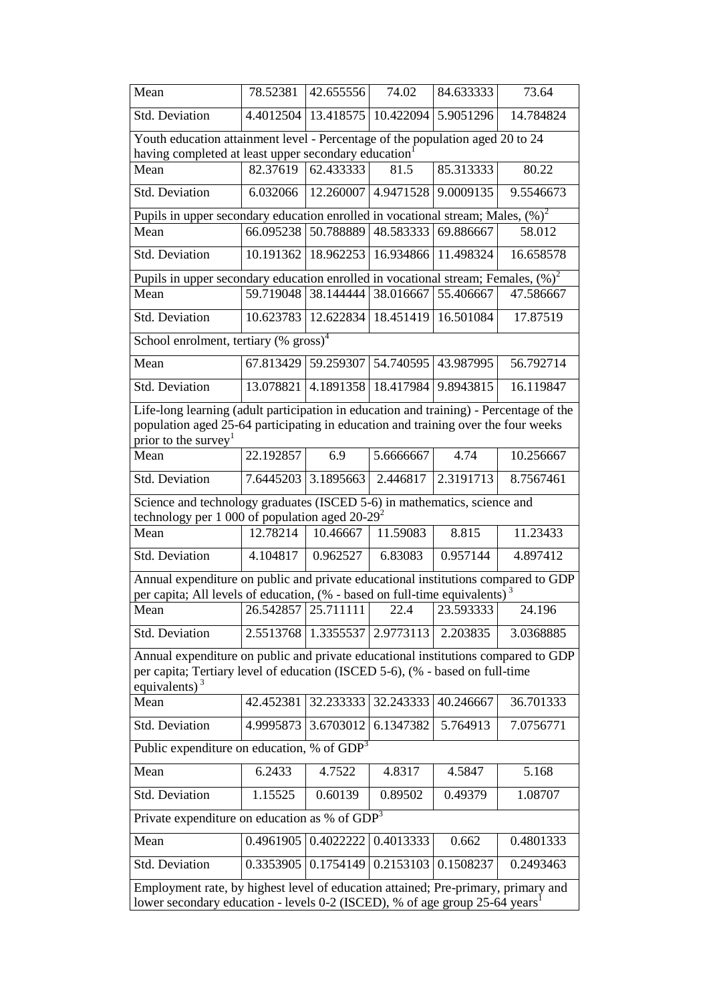| Mean                                                                                                                                                                                  | 78.52381  | 42.655556 | 74.02                         | 84.633333 | 73.64     |  |  |
|---------------------------------------------------------------------------------------------------------------------------------------------------------------------------------------|-----------|-----------|-------------------------------|-----------|-----------|--|--|
| <b>Std. Deviation</b>                                                                                                                                                                 | 4.4012504 | 13.418575 | 10.422094                     | 5.9051296 | 14.784824 |  |  |
| Youth education attainment level - Percentage of the population aged 20 to 24<br>having completed at least upper secondary education                                                  |           |           |                               |           |           |  |  |
| Mean                                                                                                                                                                                  | 82.37619  | 62.433333 | 81.5                          | 85.313333 | 80.22     |  |  |
| Std. Deviation                                                                                                                                                                        | 6.032066  | 12.260007 | 4.9471528                     | 9.0009135 | 9.5546673 |  |  |
| Pupils in upper secondary education enrolled in vocational stream; Males, $(\%)^2$                                                                                                    |           |           |                               |           |           |  |  |
| Mean                                                                                                                                                                                  | 66.095238 |           | 50.788889 48.583333 69.886667 |           | 58.012    |  |  |
| <b>Std. Deviation</b>                                                                                                                                                                 | 10.191362 | 18.962253 | 16.934866                     | 11.498324 | 16.658578 |  |  |
| Pupils in upper secondary education enrolled in vocational stream; Females, $(\%)^2$                                                                                                  |           |           |                               |           |           |  |  |
| Mean                                                                                                                                                                                  | 59.719048 |           | 38.144444 38.016667 55.406667 |           | 47.586667 |  |  |
| <b>Std. Deviation</b>                                                                                                                                                                 | 10.623783 | 12.622834 | 18.451419                     | 16.501084 | 17.87519  |  |  |
| School enrolment, tertiary $(\%$ gross) <sup>4</sup>                                                                                                                                  |           |           |                               |           |           |  |  |
| Mean                                                                                                                                                                                  | 67.813429 |           | 59.259307 54.740595 43.987995 |           | 56.792714 |  |  |
| Std. Deviation                                                                                                                                                                        | 13.078821 |           | 4.1891358   18.417984         | 9.8943815 | 16.119847 |  |  |
| Life-long learning (adult participation in education and training) - Percentage of the                                                                                                |           |           |                               |           |           |  |  |
| population aged 25-64 participating in education and training over the four weeks                                                                                                     |           |           |                               |           |           |  |  |
| prior to the survey <sup>1</sup>                                                                                                                                                      |           |           |                               |           |           |  |  |
| Mean                                                                                                                                                                                  | 22.192857 | 6.9       | 5.6666667                     | 4.74      | 10.256667 |  |  |
| <b>Std. Deviation</b>                                                                                                                                                                 | 7.6445203 | 3.1895663 | 2.446817                      | 2.3191713 | 8.7567461 |  |  |
| Science and technology graduates (ISCED 5-6) in mathematics, science and<br>technology per 1 000 of population aged $20-29^2$                                                         |           |           |                               |           |           |  |  |
| Mean                                                                                                                                                                                  | 12.78214  | 10.46667  | 11.59083                      | 8.815     | 11.23433  |  |  |
| <b>Std. Deviation</b>                                                                                                                                                                 | 4.104817  | 0.962527  | 6.83083                       | 0.957144  | 4.897412  |  |  |
| Annual expenditure on public and private educational institutions compared to GDP                                                                                                     |           |           |                               |           |           |  |  |
| per capita; All levels of education, $(\%$ - based on full-time equivalents) <sup>3</sup>                                                                                             |           |           |                               |           |           |  |  |
| Mean                                                                                                                                                                                  | 26.542857 | 25.711111 | 22.4                          | 23.593333 | 24.196    |  |  |
| <b>Std. Deviation</b>                                                                                                                                                                 | 2.5513768 |           | 1.3355537 2.9773113           | 2.203835  | 3.0368885 |  |  |
| Annual expenditure on public and private educational institutions compared to GDP<br>per capita; Tertiary level of education (ISCED 5-6), (% - based on full-time<br>equivalents) $3$ |           |           |                               |           |           |  |  |
| Mean                                                                                                                                                                                  | 42.452381 | 32.233333 | 32.243333                     | 40.246667 | 36.701333 |  |  |
| <b>Std. Deviation</b>                                                                                                                                                                 | 4.9995873 | 3.6703012 | 6.1347382                     | 5.764913  | 7.0756771 |  |  |
| Public expenditure on education, % of $GDP3$                                                                                                                                          |           |           |                               |           |           |  |  |
| Mean                                                                                                                                                                                  | 6.2433    | 4.7522    | 4.8317                        | 4.5847    | 5.168     |  |  |
| Std. Deviation                                                                                                                                                                        | 1.15525   | 0.60139   | 0.89502                       | 0.49379   | 1.08707   |  |  |
| Private expenditure on education as % of $\overline{GDP}^3$                                                                                                                           |           |           |                               |           |           |  |  |
| Mean                                                                                                                                                                                  | 0.4961905 | 0.4022222 | 0.4013333                     | 0.662     | 0.4801333 |  |  |
| Std. Deviation                                                                                                                                                                        | 0.3353905 | 0.1754149 | 0.2153103                     | 0.1508237 | 0.2493463 |  |  |
| Employment rate, by highest level of education attained; Pre-primary, primary and<br>lower secondary education - levels 0-2 (ISCED), % of age group 25-64 years                       |           |           |                               |           |           |  |  |